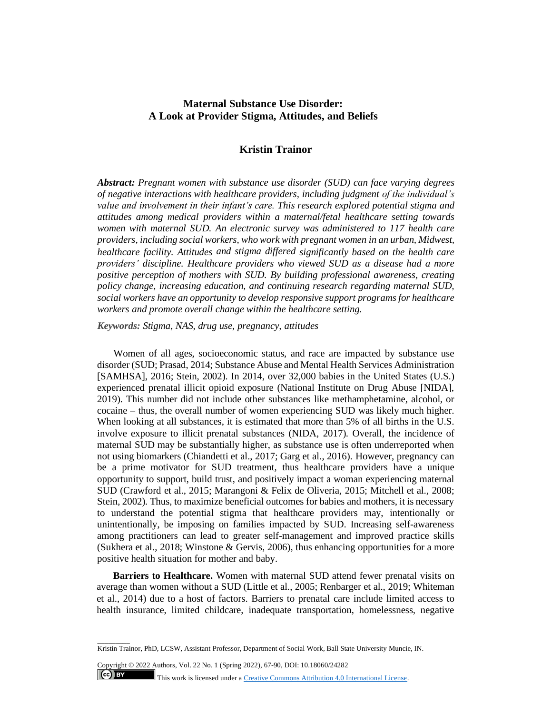# **Maternal Substance Use Disorder: A Look at Provider Stigma, Attitudes, and Beliefs**

## **Kristin Trainor**

*Abstract: Pregnant women with substance use disorder (SUD) can face varying degrees of negative interactions with healthcare providers, including judgment of the individual's value and involvement in their infant's care. This research explored potential stigma and attitudes among medical providers within a maternal/fetal healthcare setting towards women with maternal SUD. An electronic survey was administered to 117 health care providers, including social workers, who work with pregnant women in an urban, Midwest, healthcare facility. Attitudes and stigma differed significantly based on the health care providers' discipline. Healthcare providers who viewed SUD as a disease had a more positive perception of mothers with SUD. By building professional awareness, creating policy change, increasing education, and continuing research regarding maternal SUD, social workers have an opportunity to develop responsive support programs for healthcare workers and promote overall change within the healthcare setting.*

*Keywords: Stigma, NAS, drug use, pregnancy, attitudes*

Women of all ages, socioeconomic status, and race are impacted by substance use disorder (SUD; Prasad, 2014; Substance Abuse and Mental Health Services Administration [SAMHSA], 2016; Stein, 2002). In 2014, over 32,000 babies in the United States (U.S.) experienced prenatal illicit opioid exposure (National Institute on Drug Abuse [NIDA], 2019). This number did not include other substances like methamphetamine, alcohol, or cocaine – thus, the overall number of women experiencing SUD was likely much higher. When looking at all substances, it is estimated that more than 5% of all births in the U.S. involve exposure to illicit prenatal substances (NIDA, 2017). Overall, the incidence of maternal SUD may be substantially higher, as substance use is often underreported when not using biomarkers (Chiandetti et al., 2017; Garg et al., 2016). However, pregnancy can be a prime motivator for SUD treatment, thus healthcare providers have a unique opportunity to support, build trust, and positively impact a woman experiencing maternal SUD (Crawford et al., 2015; Marangoni & Felix de Oliveria, 2015; Mitchell et al., 2008; Stein, 2002). Thus, to maximize beneficial outcomes for babies and mothers, it is necessary to understand the potential stigma that healthcare providers may, intentionally or unintentionally, be imposing on families impacted by SUD. Increasing self-awareness among practitioners can lead to greater self-management and improved practice skills (Sukhera et al., 2018; Winstone & Gervis, 2006), thus enhancing opportunities for a more positive health situation for mother and baby.

**Barriers to Healthcare.** Women with maternal SUD attend fewer prenatal visits on average than women without a SUD (Little et al., 2005; Renbarger et al., 2019; Whiteman et al., 2014) due to a host of factors. Barriers to prenatal care include limited access to health insurance, limited childcare, inadequate transportation, homelessness, negative

Copyright © 2022 Authors, Vol. 22 No. 1 (Spring 2022), 67-90, DOI: 10.18060/24282  $\left($ ce $\right)$  BY This work is licensed under a **Creative Commons Attribution 4.0 International License**.

 $\overline{\phantom{a}}$  . The contract of  $\overline{\phantom{a}}$ 

Kristin Trainor, PhD, LCSW, Assistant Professor, Department of Social Work, Ball State University Muncie, IN.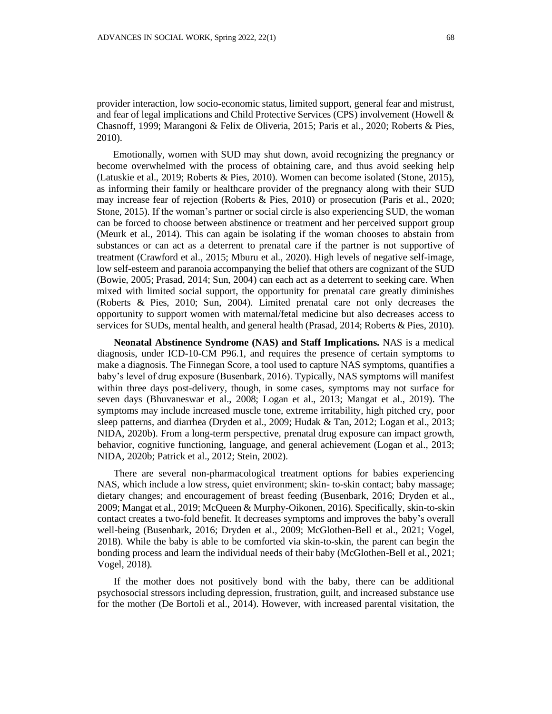provider interaction, low socio-economic status, limited support, general fear and mistrust, and fear of legal implications and Child Protective Services (CPS) involvement (Howell & Chasnoff, 1999; Marangoni & Felix de Oliveria, 2015; Paris et al., 2020; Roberts & Pies, 2010).

Emotionally, women with SUD may shut down, avoid recognizing the pregnancy or become overwhelmed with the process of obtaining care, and thus avoid seeking help (Latuskie et al., 2019; Roberts & Pies, 2010). Women can become isolated (Stone, 2015), as informing their family or healthcare provider of the pregnancy along with their SUD may increase fear of rejection (Roberts & Pies, 2010) or prosecution (Paris et al., 2020; Stone, 2015). If the woman's partner or social circle is also experiencing SUD, the woman can be forced to choose between abstinence or treatment and her perceived support group (Meurk et al., 2014). This can again be isolating if the woman chooses to abstain from substances or can act as a deterrent to prenatal care if the partner is not supportive of treatment (Crawford et al., 2015; Mburu et al., 2020). High levels of negative self-image, low self-esteem and paranoia accompanying the belief that others are cognizant of the SUD (Bowie, 2005; Prasad, 2014; Sun, 2004) can each act as a deterrent to seeking care. When mixed with limited social support, the opportunity for prenatal care greatly diminishes (Roberts & Pies, 2010; Sun, 2004). Limited prenatal care not only decreases the opportunity to support women with maternal/fetal medicine but also decreases access to services for SUDs, mental health, and general health (Prasad, 2014; Roberts & Pies, 2010).

**Neonatal Abstinence Syndrome (NAS) and Staff Implications.** NAS is a medical diagnosis, under ICD-10-CM P96.1, and requires the presence of certain symptoms to make a diagnosis. The Finnegan Score, a tool used to capture NAS symptoms, quantifies a baby's level of drug exposure (Busenbark, 2016). Typically, NAS symptoms will manifest within three days post-delivery, though, in some cases, symptoms may not surface for seven days (Bhuvaneswar et al., 2008; Logan et al., 2013; Mangat et al., 2019). The symptoms may include increased muscle tone, extreme irritability, high pitched cry, poor sleep patterns, and diarrhea (Dryden et al., 2009; Hudak & Tan, 2012; Logan et al., 2013; NIDA, 2020b). From a long-term perspective, prenatal drug exposure can impact growth, behavior, cognitive functioning, language, and general achievement (Logan et al., 2013; NIDA, 2020b; Patrick et al., 2012; Stein, 2002).

There are several non-pharmacological treatment options for babies experiencing NAS, which include a low stress, quiet environment; skin- to-skin contact; baby massage; dietary changes; and encouragement of breast feeding (Busenbark, 2016; Dryden et al., 2009; Mangat et al., 2019; McQueen & Murphy-Oikonen, 2016). Specifically, skin-to-skin contact creates a two-fold benefit. It decreases symptoms and improves the baby's overall well-being (Busenbark, 2016; Dryden et al., 2009; McGlothen-Bell et al., 2021; Vogel, 2018). While the baby is able to be comforted via skin-to-skin, the parent can begin the bonding process and learn the individual needs of their baby (McGlothen-Bell et al., 2021; Vogel, 2018).

If the mother does not positively bond with the baby, there can be additional psychosocial stressors including depression, frustration, guilt, and increased substance use for the mother (De Bortoli et al., 2014). However, with increased parental visitation, the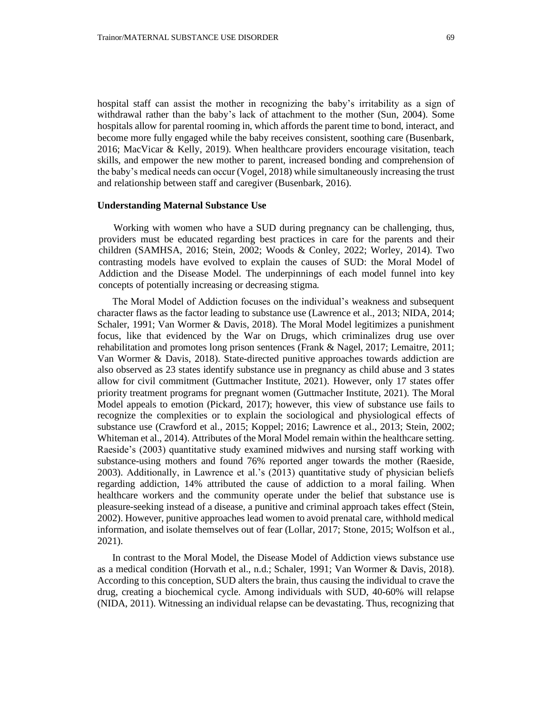hospital staff can assist the mother in recognizing the baby's irritability as a sign of withdrawal rather than the baby's lack of attachment to the mother (Sun, 2004). Some hospitals allow for parental rooming in, which affords the parent time to bond, interact, and become more fully engaged while the baby receives consistent, soothing care (Busenbark, 2016; MacVicar & Kelly, 2019). When healthcare providers encourage visitation, teach skills, and empower the new mother to parent, increased bonding and comprehension of the baby's medical needs can occur (Vogel, 2018) while simultaneously increasing the trust and relationship between staff and caregiver (Busenbark, 2016).

#### **Understanding Maternal Substance Use**

Working with women who have a SUD during pregnancy can be challenging, thus, providers must be educated regarding best practices in care for the parents and their children (SAMHSA, 2016; Stein, 2002; Woods & Conley, 2022; Worley, 2014). Two contrasting models have evolved to explain the causes of SUD: the Moral Model of Addiction and the Disease Model. The underpinnings of each model funnel into key concepts of potentially increasing or decreasing stigma.

The Moral Model of Addiction focuses on the individual's weakness and subsequent character flaws as the factor leading to substance use (Lawrence et al., 2013; NIDA, 2014; Schaler, 1991; Van Wormer & Davis, 2018). The Moral Model legitimizes a punishment focus, like that evidenced by the War on Drugs, which criminalizes drug use over rehabilitation and promotes long prison sentences (Frank & Nagel, 2017; Lemaitre, 2011; Van Wormer & Davis, 2018). State-directed punitive approaches towards addiction are also observed as 23 states identify substance use in pregnancy as child abuse and 3 states allow for civil commitment (Guttmacher Institute, 2021). However, only 17 states offer priority treatment programs for pregnant women (Guttmacher Institute, 2021). The Moral Model appeals to emotion (Pickard, 2017); however, this view of substance use fails to recognize the complexities or to explain the sociological and physiological effects of substance use (Crawford et al., 2015; Koppel; 2016; Lawrence et al., 2013; Stein, 2002; Whiteman et al., 2014). Attributes of the Moral Model remain within the healthcare setting. Raeside's (2003) quantitative study examined midwives and nursing staff working with substance-using mothers and found 76% reported anger towards the mother (Raeside, 2003). Additionally, in Lawrence et al.'s (2013) quantitative study of physician beliefs regarding addiction, 14% attributed the cause of addiction to a moral failing. When healthcare workers and the community operate under the belief that substance use is pleasure-seeking instead of a disease, a punitive and criminal approach takes effect (Stein, 2002). However, punitive approaches lead women to avoid prenatal care, withhold medical information, and isolate themselves out of fear (Lollar, 2017; Stone, 2015; Wolfson et al., 2021).

In contrast to the Moral Model, the Disease Model of Addiction views substance use as a medical condition (Horvath et al., n.d.; Schaler, 1991; Van Wormer & Davis, 2018). According to this conception, SUD alters the brain, thus causing the individual to crave the drug, creating a biochemical cycle. Among individuals with SUD, 40-60% will relapse (NIDA, 2011). Witnessing an individual relapse can be devastating. Thus, recognizing that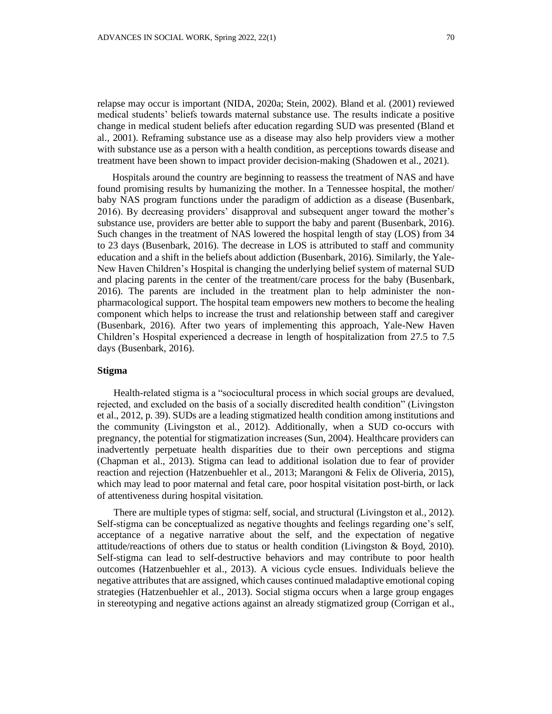relapse may occur is important (NIDA, 2020a; Stein, 2002). Bland et al. (2001) reviewed medical students' beliefs towards maternal substance use. The results indicate a positive change in medical student beliefs after education regarding SUD was presented (Bland et al., 2001). Reframing substance use as a disease may also help providers view a mother with substance use as a person with a health condition, as perceptions towards disease and treatment have been shown to impact provider decision-making (Shadowen et al., 2021).

Hospitals around the country are beginning to reassess the treatment of NAS and have found promising results by humanizing the mother. In a Tennessee hospital, the mother/ baby NAS program functions under the paradigm of addiction as a disease (Busenbark, 2016). By decreasing providers' disapproval and subsequent anger toward the mother's substance use, providers are better able to support the baby and parent (Busenbark, 2016). Such changes in the treatment of NAS lowered the hospital length of stay (LOS) from 34 to 23 days (Busenbark, 2016). The decrease in LOS is attributed to staff and community education and a shift in the beliefs about addiction (Busenbark, 2016). Similarly, the Yale-New Haven Children's Hospital is changing the underlying belief system of maternal SUD and placing parents in the center of the treatment/care process for the baby (Busenbark, 2016). The parents are included in the treatment plan to help administer the nonpharmacological support. The hospital team empowers new mothers to become the healing component which helps to increase the trust and relationship between staff and caregiver (Busenbark, 2016). After two years of implementing this approach, Yale-New Haven Children's Hospital experienced a decrease in length of hospitalization from 27.5 to 7.5 days (Busenbark, 2016).

#### **Stigma**

Health-related stigma is a "sociocultural process in which social groups are devalued, rejected, and excluded on the basis of a socially discredited health condition" (Livingston et al., 2012, p. 39). SUDs are a leading stigmatized health condition among institutions and the community (Livingston et al., 2012). Additionally, when a SUD co-occurs with pregnancy, the potential for stigmatization increases (Sun, 2004). Healthcare providers can inadvertently perpetuate health disparities due to their own perceptions and stigma (Chapman et al., 2013). Stigma can lead to additional isolation due to fear of provider reaction and rejection (Hatzenbuehler et al., 2013; Marangoni & Felix de Oliveria, 2015), which may lead to poor maternal and fetal care, poor hospital visitation post-birth, or lack of attentiveness during hospital visitation.

There are multiple types of stigma: self, social, and structural (Livingston et al., 2012). Self-stigma can be conceptualized as negative thoughts and feelings regarding one's self, acceptance of a negative narrative about the self, and the expectation of negative attitude/reactions of others due to status or health condition (Livingston & Boyd, 2010). Self-stigma can lead to self-destructive behaviors and may contribute to poor health outcomes (Hatzenbuehler et al., 2013). A vicious cycle ensues. Individuals believe the negative attributes that are assigned, which causes continued maladaptive emotional coping strategies (Hatzenbuehler et al., 2013). Social stigma occurs when a large group engages in stereotyping and negative actions against an already stigmatized group (Corrigan et al.,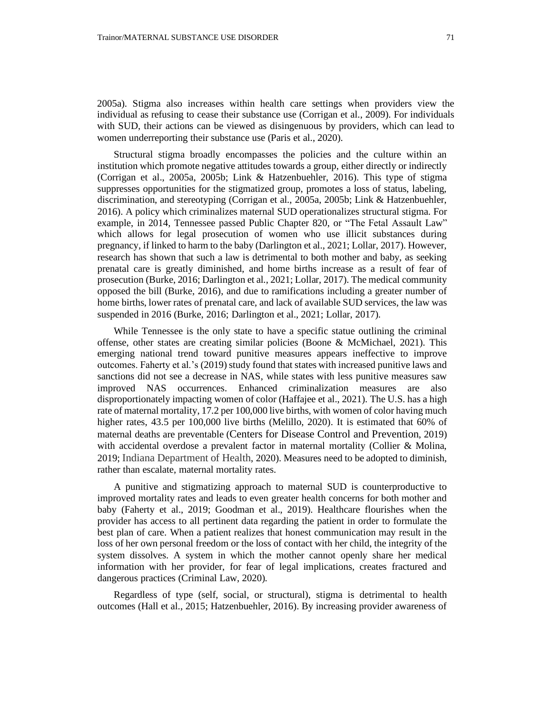2005a). Stigma also increases within health care settings when providers view the individual as refusing to cease their substance use (Corrigan et al., 2009). For individuals with SUD, their actions can be viewed as disingenuous by providers, which can lead to women underreporting their substance use (Paris et al., 2020).

Structural stigma broadly encompasses the policies and the culture within an institution which promote negative attitudes towards a group, either directly or indirectly (Corrigan et al., 2005a, 2005b; Link & Hatzenbuehler, 2016). This type of stigma suppresses opportunities for the stigmatized group, promotes a loss of status, labeling, discrimination, and stereotyping (Corrigan et al., 2005a, 2005b; Link & Hatzenbuehler, 2016). A policy which criminalizes maternal SUD operationalizes structural stigma. For example, in 2014, Tennessee passed Public Chapter 820, or "The Fetal Assault Law" which allows for legal prosecution of women who use illicit substances during pregnancy, if linked to harm to the baby (Darlington et al., 2021; Lollar, 2017). However, research has shown that such a law is detrimental to both mother and baby, as seeking prenatal care is greatly diminished, and home births increase as a result of fear of prosecution (Burke, 2016; Darlington et al., 2021; Lollar, 2017). The medical community opposed the bill (Burke, 2016), and due to ramifications including a greater number of home births, lower rates of prenatal care, and lack of available SUD services, the law was suspended in 2016 (Burke, 2016; Darlington et al., 2021; Lollar, 2017).

While Tennessee is the only state to have a specific statue outlining the criminal offense, other states are creating similar policies (Boone & McMichael, 2021). This emerging national trend toward punitive measures appears ineffective to improve outcomes. Faherty et al.'s (2019) study found that states with increased punitive laws and sanctions did not see a decrease in NAS, while states with less punitive measures saw improved NAS occurrences. Enhanced criminalization measures are also disproportionately impacting women of color (Haffajee et al., 2021). The U.S. has a high rate of maternal mortality, 17.2 per 100,000 live births, with women of color having much higher rates, 43.5 per 100,000 live births (Melillo, 2020). It is estimated that 60% of maternal deaths are preventable (Centers for Disease Control and Prevention, 2019) with accidental overdose a prevalent factor in maternal mortality (Collier & Molina, 2019; Indiana Department of Health, 2020). Measures need to be adopted to diminish, rather than escalate, maternal mortality rates.

A punitive and stigmatizing approach to maternal SUD is counterproductive to improved mortality rates and leads to even greater health concerns for both mother and baby (Faherty et al., 2019; Goodman et al., 2019). Healthcare flourishes when the provider has access to all pertinent data regarding the patient in order to formulate the best plan of care. When a patient realizes that honest communication may result in the loss of her own personal freedom or the loss of contact with her child, the integrity of the system dissolves. A system in which the mother cannot openly share her medical information with her provider, for fear of legal implications, creates fractured and dangerous practices (Criminal Law, 2020).

Regardless of type (self, social, or structural), stigma is detrimental to health outcomes (Hall et al., 2015; Hatzenbuehler, 2016). By increasing provider awareness of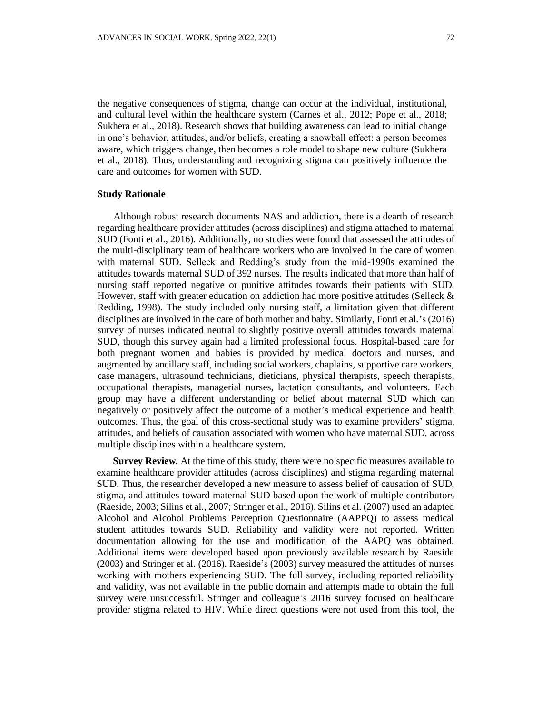the negative consequences of stigma, change can occur at the individual, institutional, and cultural level within the healthcare system (Carnes et al., 2012; Pope et al., 2018; Sukhera et al., 2018). Research shows that building awareness can lead to initial change in one's behavior, attitudes, and/or beliefs, creating a snowball effect: a person becomes aware, which triggers change, then becomes a role model to shape new culture (Sukhera et al., 2018). Thus, understanding and recognizing stigma can positively influence the care and outcomes for women with SUD.

### **Study Rationale**

Although robust research documents NAS and addiction, there is a dearth of research regarding healthcare provider attitudes (across disciplines) and stigma attached to maternal SUD (Fonti et al., 2016). Additionally, no studies were found that assessed the attitudes of the multi-disciplinary team of healthcare workers who are involved in the care of women with maternal SUD. Selleck and Redding's study from the mid-1990s examined the attitudes towards maternal SUD of 392 nurses. The results indicated that more than half of nursing staff reported negative or punitive attitudes towards their patients with SUD. However, staff with greater education on addiction had more positive attitudes (Selleck & Redding, 1998). The study included only nursing staff, a limitation given that different disciplines are involved in the care of both mother and baby. Similarly, Fonti et al.'s (2016) survey of nurses indicated neutral to slightly positive overall attitudes towards maternal SUD, though this survey again had a limited professional focus. Hospital-based care for both pregnant women and babies is provided by medical doctors and nurses, and augmented by ancillary staff, including social workers, chaplains, supportive care workers, case managers, ultrasound technicians, dieticians, physical therapists, speech therapists, occupational therapists, managerial nurses, lactation consultants, and volunteers. Each group may have a different understanding or belief about maternal SUD which can negatively or positively affect the outcome of a mother's medical experience and health outcomes. Thus, the goal of this cross-sectional study was to examine providers' stigma, attitudes, and beliefs of causation associated with women who have maternal SUD, across multiple disciplines within a healthcare system.

**Survey Review***.* At the time of this study, there were no specific measures available to examine healthcare provider attitudes (across disciplines) and stigma regarding maternal SUD. Thus, the researcher developed a new measure to assess belief of causation of SUD, stigma, and attitudes toward maternal SUD based upon the work of multiple contributors (Raeside, 2003; Silins et al., 2007; Stringer et al., 2016). Silins et al. (2007) used an adapted Alcohol and Alcohol Problems Perception Questionnaire (AAPPQ) to assess medical student attitudes towards SUD. Reliability and validity were not reported. Written documentation allowing for the use and modification of the AAPQ was obtained. Additional items were developed based upon previously available research by Raeside (2003) and Stringer et al. (2016). Raeside's (2003) survey measured the attitudes of nurses working with mothers experiencing SUD. The full survey, including reported reliability and validity, was not available in the public domain and attempts made to obtain the full survey were unsuccessful. Stringer and colleague's 2016 survey focused on healthcare provider stigma related to HIV. While direct questions were not used from this tool, the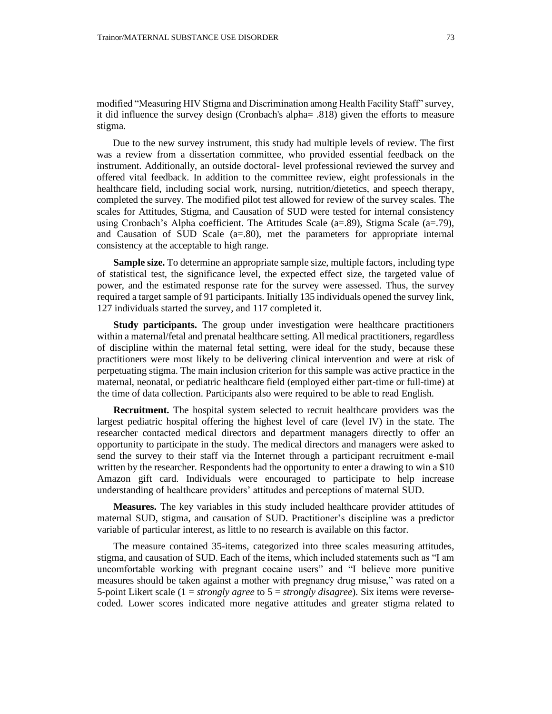modified "Measuring HIV Stigma and Discrimination among Health Facility Staff" survey, it did influence the survey design (Cronbach's alpha= .818) given the efforts to measure stigma.

Due to the new survey instrument, this study had multiple levels of review. The first was a review from a dissertation committee, who provided essential feedback on the instrument. Additionally, an outside doctoral- level professional reviewed the survey and offered vital feedback. In addition to the committee review, eight professionals in the healthcare field, including social work, nursing, nutrition/dietetics, and speech therapy, completed the survey. The modified pilot test allowed for review of the survey scales. The scales for Attitudes, Stigma, and Causation of SUD were tested for internal consistency using Cronbach's Alpha coefficient. The Attitudes Scale (a=.89), Stigma Scale (a=.79), and Causation of SUD Scale (a=.80), met the parameters for appropriate internal consistency at the acceptable to high range.

**Sample size.** To determine an appropriate sample size, multiple factors, including type of statistical test, the significance level, the expected effect size, the targeted value of power, and the estimated response rate for the survey were assessed. Thus, the survey required a target sample of 91 participants. Initially 135 individuals opened the survey link, 127 individuals started the survey, and 117 completed it.

**Study participants.** The group under investigation were healthcare practitioners within a maternal/fetal and prenatal healthcare setting. All medical practitioners, regardless of discipline within the maternal fetal setting, were ideal for the study, because these practitioners were most likely to be delivering clinical intervention and were at risk of perpetuating stigma. The main inclusion criterion for this sample was active practice in the maternal, neonatal, or pediatric healthcare field (employed either part-time or full-time) at the time of data collection. Participants also were required to be able to read English.

**Recruitment.** The hospital system selected to recruit healthcare providers was the largest pediatric hospital offering the highest level of care (level IV) in the state. The researcher contacted medical directors and department managers directly to offer an opportunity to participate in the study. The medical directors and managers were asked to send the survey to their staff via the Internet through a participant recruitment e-mail written by the researcher. Respondents had the opportunity to enter a drawing to win a \$10 Amazon gift card. Individuals were encouraged to participate to help increase understanding of healthcare providers' attitudes and perceptions of maternal SUD.

**Measures.** The key variables in this study included healthcare provider attitudes of maternal SUD, stigma, and causation of SUD. Practitioner's discipline was a predictor variable of particular interest, as little to no research is available on this factor.

The measure contained 35-items, categorized into three scales measuring attitudes, stigma, and causation of SUD. Each of the items, which included statements such as "I am uncomfortable working with pregnant cocaine users" and "I believe more punitive measures should be taken against a mother with pregnancy drug misuse," was rated on a 5-point Likert scale (1 = *strongly agree* to 5 = *strongly disagree*). Six items were reversecoded. Lower scores indicated more negative attitudes and greater stigma related to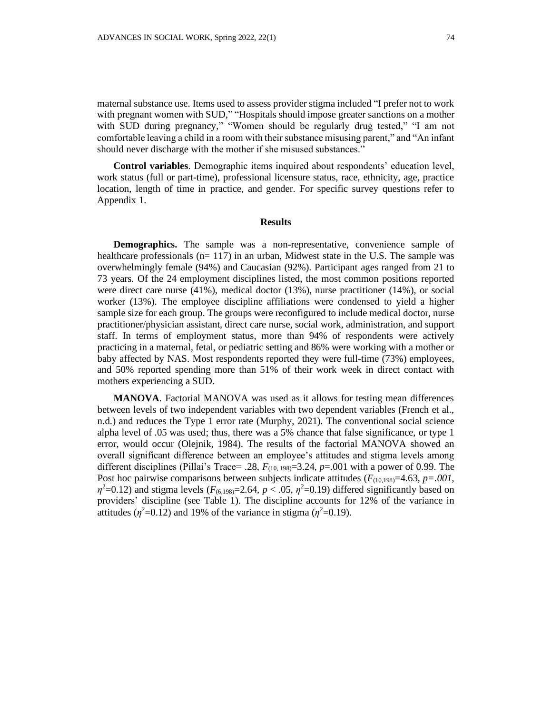maternal substance use. Items used to assess provider stigma included "I prefer not to work with pregnant women with SUD," "Hospitals should impose greater sanctions on a mother with SUD during pregnancy," "Women should be regularly drug tested," "I am not comfortable leaving a child in a room with their substance misusing parent," and "An infant should never discharge with the mother if she misused substances."

**Control variables**. Demographic items inquired about respondents' education level, work status (full or part-time), professional licensure status, race, ethnicity, age, practice location, length of time in practice, and gender. For specific survey questions refer to Appendix 1.

#### **Results**

**Demographics.** The sample was a non-representative, convenience sample of healthcare professionals ( $n= 117$ ) in an urban, Midwest state in the U.S. The sample was overwhelmingly female (94%) and Caucasian (92%). Participant ages ranged from 21 to 73 years. Of the 24 employment disciplines listed, the most common positions reported were direct care nurse (41%), medical doctor (13%), nurse practitioner (14%), or social worker (13%). The employee discipline affiliations were condensed to yield a higher sample size for each group. The groups were reconfigured to include medical doctor, nurse practitioner/physician assistant, direct care nurse, social work, administration, and support staff. In terms of employment status, more than 94% of respondents were actively practicing in a maternal, fetal, or pediatric setting and 86% were working with a mother or baby affected by NAS. Most respondents reported they were full-time (73%) employees, and 50% reported spending more than 51% of their work week in direct contact with mothers experiencing a SUD.

**MANOVA**. Factorial MANOVA was used as it allows for testing mean differences between levels of two independent variables with two dependent variables (French et al., n.d.) and reduces the Type 1 error rate (Murphy, 2021). The conventional social science alpha level of .05 was used; thus, there was a 5% chance that false significance, or type 1 error, would occur (Olejnik, 1984). The results of the factorial MANOVA showed an overall significant difference between an employee's attitudes and stigma levels among different disciplines (Pillai's Trace= .28, *F*(10, 198)=3.24, *p*=.001 with a power of 0.99. The Post hoc pairwise comparisons between subjects indicate attitudes ( $F_{(10.198)}=4.63$ ,  $p=.001$ ,  $\eta^2$ =0.12) and stigma levels (*F*<sub>(6,198)</sub>=2.64, *p* < .05,  $\eta^2$ =0.19) differed significantly based on providers' discipline (see Table 1). The discipline accounts for 12% of the variance in attitudes ( $\eta^2$ =0.12) and 19% of the variance in stigma ( $\eta^2$ =0.19).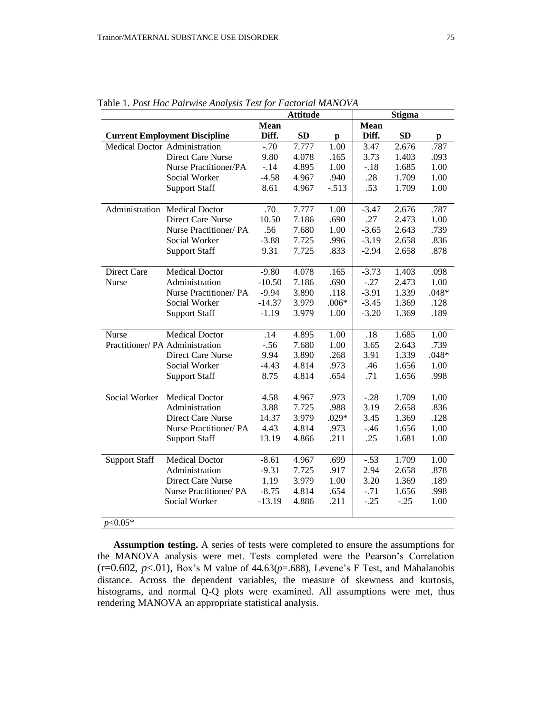|                                 |                                      | <b>Attitude</b> |           |         | <b>Stigma</b> |        |         |  |
|---------------------------------|--------------------------------------|-----------------|-----------|---------|---------------|--------|---------|--|
|                                 |                                      | <b>Mean</b>     |           |         | Mean          |        |         |  |
|                                 | <b>Current Employment Discipline</b> | Diff.           | <b>SD</b> | p       | Diff.         | SD     | p       |  |
|                                 | Medical Doctor Administration        | $-.70$          | 7.777     | 1.00    | 3.47          | 2.676  | .787    |  |
|                                 | Direct Care Nurse                    | 9.80            | 4.078     | .165    | 3.73          | 1.403  | .093    |  |
|                                 | Nurse Practitioner/PA                | $-.14$          | 4.895     | 1.00    | $-.18$        | 1.685  | 1.00    |  |
|                                 | Social Worker                        | $-4.58$         | 4.967     | .940    | .28           | 1.709  | 1.00    |  |
|                                 | <b>Support Staff</b>                 | 8.61            | 4.967     | $-.513$ | .53           | 1.709  | 1.00    |  |
|                                 | Administration Medical Doctor        | .70             | 7.777     | 1.00    | $-3.47$       | 2.676  | .787    |  |
|                                 | <b>Direct Care Nurse</b>             | 10.50           | 7.186     | .690    | .27           | 2.473  | 1.00    |  |
|                                 | Nurse Practitioner/PA                | .56             | 7.680     | 1.00    | $-3.65$       | 2.643  | .739    |  |
|                                 | Social Worker                        | $-3.88$         | 7.725     | .996    | $-3.19$       | 2.658  | .836    |  |
|                                 | <b>Support Staff</b>                 | 9.31            | 7.725     | .833    | $-2.94$       | 2.658  | .878    |  |
| Direct Care                     | <b>Medical Doctor</b>                | $-9.80$         | 4.078     | .165    | $-3.73$       | 1.403  | .098    |  |
| Nurse                           | Administration                       | $-10.50$        | 7.186     | .690    | $-.27$        | 2.473  | 1.00    |  |
|                                 | Nurse Practitioner/ PA               | $-9.94$         | 3.890     | .118    | $-3.91$       | 1.339  | $.048*$ |  |
|                                 | Social Worker                        | $-14.37$        | 3.979     | $.006*$ | $-3.45$       | 1.369  | .128    |  |
|                                 | <b>Support Staff</b>                 | $-1.19$         | 3.979     | 1.00    | $-3.20$       | 1.369  | .189    |  |
| <b>Nurse</b>                    | <b>Medical Doctor</b>                | .14             | 4.895     | 1.00    | .18           | 1.685  | 1.00    |  |
| Practitioner/ PA Administration |                                      | $-.56$          | 7.680     | 1.00    | 3.65          | 2.643  | .739    |  |
|                                 | <b>Direct Care Nurse</b>             | 9.94            | 3.890     | .268    | 3.91          | 1.339  | $.048*$ |  |
|                                 | Social Worker                        | $-4.43$         | 4.814     | .973    | .46           | 1.656  | 1.00    |  |
|                                 | <b>Support Staff</b>                 | 8.75            | 4.814     | .654    | .71           | 1.656  | .998    |  |
| Social Worker                   | <b>Medical Doctor</b>                | 4.58            | 4.967     | .973    | $-.28$        | 1.709  | 1.00    |  |
|                                 | Administration                       | 3.88            | 7.725     | .988    | 3.19          | 2.658  | .836    |  |
|                                 | <b>Direct Care Nurse</b>             | 14.37           | 3.979     | $.029*$ | 3.45          | 1.369  | .128    |  |
|                                 | Nurse Practitioner/ PA               | 4.43            | 4.814     | .973    | $-.46$        | 1.656  | 1.00    |  |
|                                 | <b>Support Staff</b>                 | 13.19           | 4.866     | .211    | .25           | 1.681  | 1.00    |  |
| <b>Support Staff</b>            | <b>Medical Doctor</b>                | $-8.61$         | 4.967     | .699    | $-.53$        | 1.709  | 1.00    |  |
|                                 | Administration                       | $-9.31$         | 7.725     | .917    | 2.94          | 2.658  | .878    |  |
|                                 | Direct Care Nurse                    | 1.19            | 3.979     | 1.00    | 3.20          | 1.369  | .189    |  |
|                                 | Nurse Practitioner/ PA               | $-8.75$         | 4.814     | .654    | $-.71$        | 1.656  | .998    |  |
|                                 | Social Worker                        | $-13.19$        | 4.886     | .211    | $-.25$        | $-.25$ | 1.00    |  |
| $p<0.05*$                       |                                      |                 |           |         |               |        |         |  |

Table 1. *Post Hoc Pairwise Analysis Test for Factorial MANOVA*

**Assumption testing.** A series of tests were completed to ensure the assumptions for the MANOVA analysis were met. Tests completed were the Pearson's Correlation  $(r=0.602, p<.01)$ , Box's M value of  $44.63(p=.688)$ , Levene's F Test, and Mahalanobis distance. Across the dependent variables, the measure of skewness and kurtosis, histograms, and normal Q-Q plots were examined. All assumptions were met, thus rendering MANOVA an appropriate statistical analysis.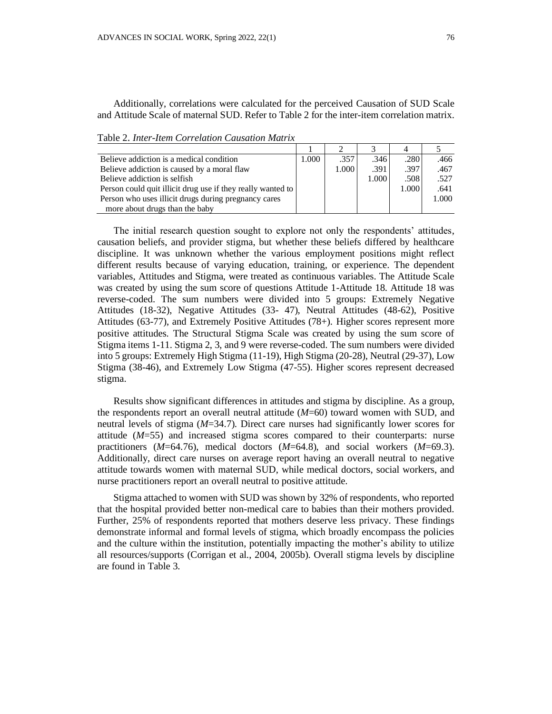Additionally, correlations were calculated for the perceived Causation of SUD Scale and Attitude Scale of maternal SUD. Refer to Table 2 for the inter-item correlation matrix.

Table 2. *Inter-Item Correlation Causation Matrix*

| Believe addiction is a medical condition                    | 1.000 | .357  | .3461 | .280  | .466  |
|-------------------------------------------------------------|-------|-------|-------|-------|-------|
| Believe addiction is caused by a moral flaw                 |       | 1.000 | .391  | .397  | .467  |
| Believe addiction is selfish.                               |       |       | 1.000 | .508  | .527  |
| Person could quit illicit drug use if they really wanted to |       |       |       | 1.000 | .641  |
| Person who uses illicit drugs during pregnancy cares        |       |       |       |       | 1.000 |
| more about drugs than the baby                              |       |       |       |       |       |

The initial research question sought to explore not only the respondents' attitudes, causation beliefs, and provider stigma, but whether these beliefs differed by healthcare discipline. It was unknown whether the various employment positions might reflect different results because of varying education, training, or experience. The dependent variables, Attitudes and Stigma, were treated as continuous variables. The Attitude Scale was created by using the sum score of questions Attitude 1-Attitude 18. Attitude 18 was reverse-coded. The sum numbers were divided into 5 groups: Extremely Negative Attitudes (18-32), Negative Attitudes (33- 47), Neutral Attitudes (48-62), Positive Attitudes (63-77), and Extremely Positive Attitudes (78+). Higher scores represent more positive attitudes. The Structural Stigma Scale was created by using the sum score of Stigma items 1-11. Stigma 2, 3, and 9 were reverse-coded. The sum numbers were divided into 5 groups: Extremely High Stigma (11-19), High Stigma (20-28), Neutral (29-37), Low Stigma (38-46), and Extremely Low Stigma (47-55). Higher scores represent decreased stigma.

Results show significant differences in attitudes and stigma by discipline. As a group, the respondents report an overall neutral attitude (*M*=60) toward women with SUD, and neutral levels of stigma (*M*=34.7). Direct care nurses had significantly lower scores for attitude (*M*=55) and increased stigma scores compared to their counterparts: nurse practitioners (*M*=64.76), medical doctors (*M*=64.8), and social workers (*M*=69.3). Additionally, direct care nurses on average report having an overall neutral to negative attitude towards women with maternal SUD, while medical doctors, social workers, and nurse practitioners report an overall neutral to positive attitude.

Stigma attached to women with SUD was shown by 32% of respondents, who reported that the hospital provided better non-medical care to babies than their mothers provided. Further, 25% of respondents reported that mothers deserve less privacy. These findings demonstrate informal and formal levels of stigma, which broadly encompass the policies and the culture within the institution, potentially impacting the mother's ability to utilize all resources/supports (Corrigan et al., 2004, 2005b). Overall stigma levels by discipline are found in Table 3.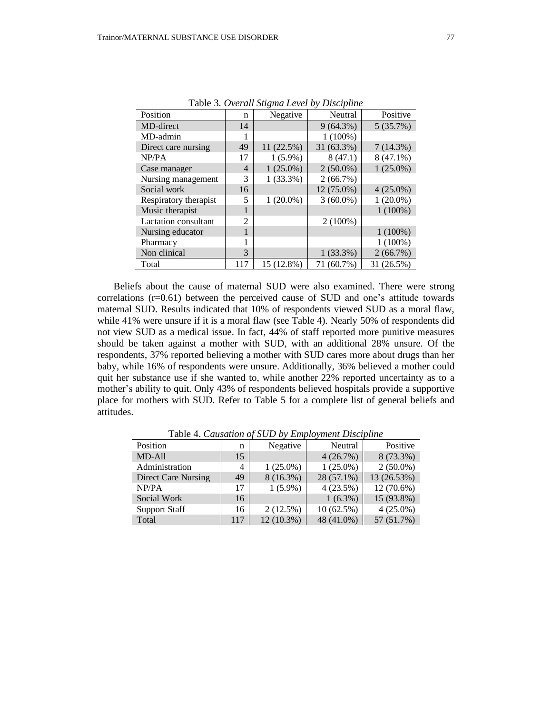| Position                    | n              | Negative    | Neutral     | Positive    |
|-----------------------------|----------------|-------------|-------------|-------------|
| MD-direct                   | 14             |             | $9(64.3\%)$ | 5(35.7%)    |
| MD-admin                    |                |             | $1(100\%)$  |             |
| Direct care nursing         | 49             | 11 (22.5%)  | 31 (63.3%)  | 7(14.3%)    |
| NP/PA                       | 17             | $1(5.9\%)$  | 8(47.1)     | $8(47.1\%)$ |
| Case manager                | $\overline{4}$ | $1(25.0\%)$ | $2(50.0\%)$ | $1(25.0\%)$ |
| Nursing management          | 3              | $1(33.3\%)$ | 2(66.7%)    |             |
| Social work                 | 16             |             | 12 (75.0%)  | $4(25.0\%)$ |
| Respiratory therapist       | 5              | $1(20.0\%)$ | $3(60.0\%)$ | $1(20.0\%)$ |
| Music therapist             |                |             |             | $1(100\%)$  |
| <b>Lactation</b> consultant | $\overline{c}$ |             | $2(100\%)$  |             |
| Nursing educator            |                |             |             | $1(100\%)$  |
| Pharmacy                    |                |             |             | $1(100\%)$  |
| Non clinical                | 3              |             | $1(33.3\%)$ | $2(66.7\%)$ |
| Total                       | 117            | 15 (12.8%)  | 71 (60.7%)  | 31 (26.5%)  |

Table 3. *Overall Stigma Level by Discipline*

Beliefs about the cause of maternal SUD were also examined. There were strong correlations (r=0.61) between the perceived cause of SUD and one's attitude towards maternal SUD. Results indicated that 10% of respondents viewed SUD as a moral flaw, while 41% were unsure if it is a moral flaw (see Table 4). Nearly 50% of respondents did not view SUD as a medical issue. In fact, 44% of staff reported more punitive measures should be taken against a mother with SUD, with an additional 28% unsure. Of the respondents, 37% reported believing a mother with SUD cares more about drugs than her baby, while 16% of respondents were unsure. Additionally, 36% believed a mother could quit her substance use if she wanted to, while another 22% reported uncertainty as to a mother's ability to quit. Only 43% of respondents believed hospitals provide a supportive place for mothers with SUD. Refer to Table 5 for a complete list of general beliefs and attitudes.

| Position                   | n   | Negative    | Neutral     | Positive    |  |  |
|----------------------------|-----|-------------|-------------|-------------|--|--|
| MD-All                     | 15  |             | 4(26.7%)    | 8 (73.3%)   |  |  |
| Administration             | 4   | $1(25.0\%)$ | $1(25.0\%)$ | $2(50.0\%)$ |  |  |
| <b>Direct Care Nursing</b> | 49  | $8(16.3\%)$ | 28 (57.1%)  | 13 (26.53%) |  |  |
| NP/PA                      | 17  | $1(5.9\%)$  | 4(23.5%)    | 12 (70.6%)  |  |  |
| Social Work                | 16  |             | $1(6.3\%)$  | 15 (93.8%)  |  |  |
| <b>Support Staff</b>       | 16  | 2(12.5%)    | 10(62.5%)   | $4(25.0\%)$ |  |  |
| Total                      | 117 | 12 (10.3%)  | 48 (41.0%)  | 57 (51.7%)  |  |  |

Table 4. *Causation of SUD by Employment Discipline*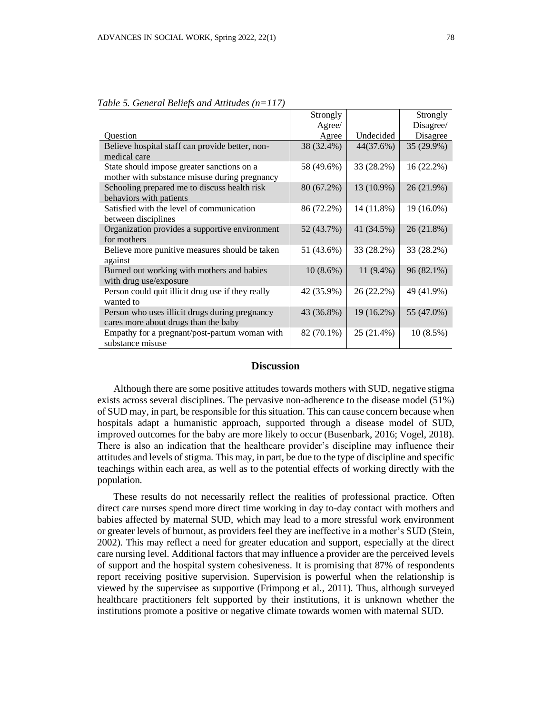|                                                                                             | Strongly    |             | Strongly   |  |
|---------------------------------------------------------------------------------------------|-------------|-------------|------------|--|
|                                                                                             | Agree/      |             | Disagree/  |  |
| <b>Ouestion</b>                                                                             | Agree       | Undecided   | Disagree   |  |
| Believe hospital staff can provide better, non-<br>medical care                             | 38 (32.4%)  | 44(37.6%)   | 35 (29.9%) |  |
| State should impose greater sanctions on a<br>mother with substance misuse during pregnancy | 58 (49.6%)  | 33 (28.2%)  | 16(22.2%)  |  |
| Schooling prepared me to discuss health risk<br>behaviors with patients                     | 80 (67.2%)  | 13 (10.9%)  | 26 (21.9%) |  |
| Satisfied with the level of communication<br>between disciplines                            | 86 (72.2%)  | 14 (11.8%)  | 19 (16.0%) |  |
| Organization provides a supportive environment<br>for mothers                               | 52 (43.7%)  | 41 (34.5%)  | 26 (21.8%) |  |
| Believe more punitive measures should be taken<br>against                                   | 51 (43.6%)  | 33 (28.2%)  | 33 (28.2%) |  |
| Burned out working with mothers and babies<br>with drug use/exposure                        | $10(8.6\%)$ | $11(9.4\%)$ | 96 (82.1%) |  |
| Person could quit illicit drug use if they really<br>wanted to                              | 42 (35.9%)  | 26 (22.2%)  | 49 (41.9%) |  |
| Person who uses illicit drugs during pregnancy<br>cares more about drugs than the baby      | 43 (36.8%)  | 19 (16.2%)  | 55 (47.0%) |  |
| Empathy for a pregnant/post-partum woman with<br>substance misuse                           | 82 (70.1%)  | 25 (21.4%)  | 10(8.5%)   |  |

*Table 5. General Beliefs and Attitudes (n=117)*

#### **Discussion**

Although there are some positive attitudes towards mothers with SUD, negative stigma exists across several disciplines. The pervasive non-adherence to the disease model (51%) of SUD may, in part, be responsible for this situation. This can cause concern because when hospitals adapt a humanistic approach, supported through a disease model of SUD, improved outcomes for the baby are more likely to occur (Busenbark, 2016; Vogel, 2018). There is also an indication that the healthcare provider's discipline may influence their attitudes and levels of stigma. This may, in part, be due to the type of discipline and specific teachings within each area, as well as to the potential effects of working directly with the population.

These results do not necessarily reflect the realities of professional practice. Often direct care nurses spend more direct time working in day to-day contact with mothers and babies affected by maternal SUD, which may lead to a more stressful work environment or greater levels of burnout, as providers feel they are ineffective in a mother's SUD (Stein, 2002). This may reflect a need for greater education and support, especially at the direct care nursing level. Additional factors that may influence a provider are the perceived levels of support and the hospital system cohesiveness. It is promising that 87% of respondents report receiving positive supervision. Supervision is powerful when the relationship is viewed by the supervisee as supportive (Frimpong et al., 2011). Thus, although surveyed healthcare practitioners felt supported by their institutions, it is unknown whether the institutions promote a positive or negative climate towards women with maternal SUD.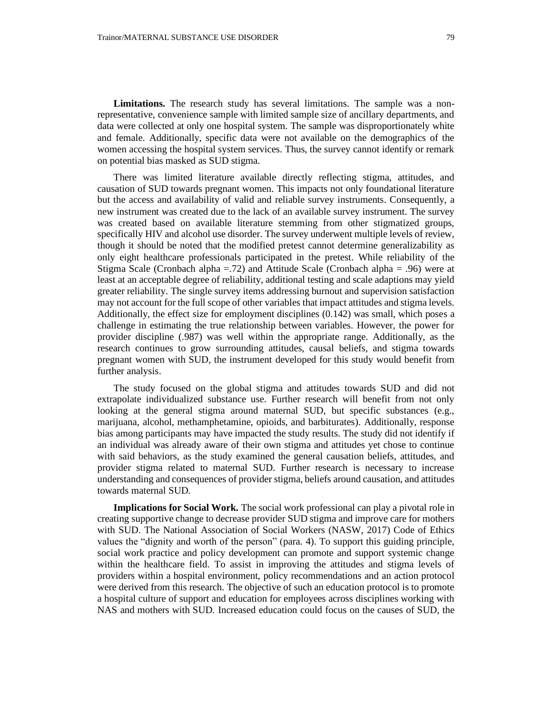Limitations. The research study has several limitations. The sample was a nonrepresentative, convenience sample with limited sample size of ancillary departments, and data were collected at only one hospital system. The sample was disproportionately white and female. Additionally, specific data were not available on the demographics of the women accessing the hospital system services. Thus, the survey cannot identify or remark on potential bias masked as SUD stigma.

There was limited literature available directly reflecting stigma, attitudes, and causation of SUD towards pregnant women. This impacts not only foundational literature but the access and availability of valid and reliable survey instruments. Consequently, a new instrument was created due to the lack of an available survey instrument. The survey was created based on available literature stemming from other stigmatized groups, specifically HIV and alcohol use disorder. The survey underwent multiple levels of review, though it should be noted that the modified pretest cannot determine generalizability as only eight healthcare professionals participated in the pretest. While reliability of the Stigma Scale (Cronbach alpha =.72) and Attitude Scale (Cronbach alpha = .96) were at least at an acceptable degree of reliability, additional testing and scale adaptions may yield greater reliability. The single survey items addressing burnout and supervision satisfaction may not account for the full scope of other variables that impact attitudes and stigma levels. Additionally, the effect size for employment disciplines (0.142) was small, which poses a challenge in estimating the true relationship between variables. However, the power for provider discipline (.987) was well within the appropriate range. Additionally, as the research continues to grow surrounding attitudes, causal beliefs, and stigma towards pregnant women with SUD, the instrument developed for this study would benefit from further analysis.

The study focused on the global stigma and attitudes towards SUD and did not extrapolate individualized substance use. Further research will benefit from not only looking at the general stigma around maternal SUD, but specific substances (e.g., marijuana, alcohol, methamphetamine, opioids, and barbiturates). Additionally, response bias among participants may have impacted the study results. The study did not identify if an individual was already aware of their own stigma and attitudes yet chose to continue with said behaviors, as the study examined the general causation beliefs, attitudes, and provider stigma related to maternal SUD. Further research is necessary to increase understanding and consequences of provider stigma, beliefs around causation, and attitudes towards maternal SUD.

**Implications for Social Work.** The social work professional can play a pivotal role in creating supportive change to decrease provider SUD stigma and improve care for mothers with SUD. The National Association of Social Workers (NASW, 2017) Code of Ethics values the "dignity and worth of the person" (para. 4). To support this guiding principle, social work practice and policy development can promote and support systemic change within the healthcare field. To assist in improving the attitudes and stigma levels of providers within a hospital environment, policy recommendations and an action protocol were derived from this research. The objective of such an education protocol is to promote a hospital culture of support and education for employees across disciplines working with NAS and mothers with SUD. Increased education could focus on the causes of SUD, the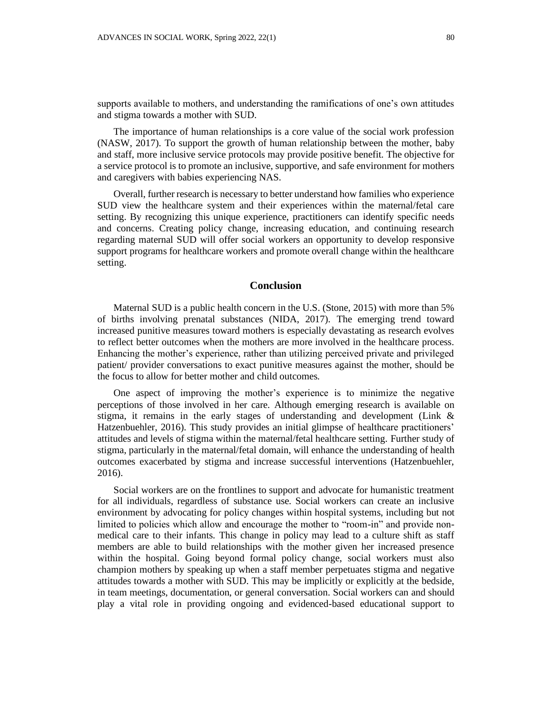supports available to mothers, and understanding the ramifications of one's own attitudes and stigma towards a mother with SUD.

The importance of human relationships is a core value of the social work profession (NASW, 2017). To support the growth of human relationship between the mother, baby and staff, more inclusive service protocols may provide positive benefit. The objective for a service protocol is to promote an inclusive, supportive, and safe environment for mothers and caregivers with babies experiencing NAS.

Overall, further research is necessary to better understand how families who experience SUD view the healthcare system and their experiences within the maternal/fetal care setting. By recognizing this unique experience, practitioners can identify specific needs and concerns. Creating policy change, increasing education, and continuing research regarding maternal SUD will offer social workers an opportunity to develop responsive support programs for healthcare workers and promote overall change within the healthcare setting.

#### **Conclusion**

Maternal SUD is a public health concern in the U.S. (Stone, 2015) with more than 5% of births involving prenatal substances (NIDA, 2017). The emerging trend toward increased punitive measures toward mothers is especially devastating as research evolves to reflect better outcomes when the mothers are more involved in the healthcare process. Enhancing the mother's experience, rather than utilizing perceived private and privileged patient/ provider conversations to exact punitive measures against the mother, should be the focus to allow for better mother and child outcomes.

One aspect of improving the mother's experience is to minimize the negative perceptions of those involved in her care. Although emerging research is available on stigma, it remains in the early stages of understanding and development (Link & Hatzenbuehler, 2016). This study provides an initial glimpse of healthcare practitioners' attitudes and levels of stigma within the maternal/fetal healthcare setting. Further study of stigma, particularly in the maternal/fetal domain, will enhance the understanding of health outcomes exacerbated by stigma and increase successful interventions (Hatzenbuehler, 2016).

Social workers are on the frontlines to support and advocate for humanistic treatment for all individuals, regardless of substance use. Social workers can create an inclusive environment by advocating for policy changes within hospital systems, including but not limited to policies which allow and encourage the mother to "room-in" and provide nonmedical care to their infants. This change in policy may lead to a culture shift as staff members are able to build relationships with the mother given her increased presence within the hospital. Going beyond formal policy change, social workers must also champion mothers by speaking up when a staff member perpetuates stigma and negative attitudes towards a mother with SUD. This may be implicitly or explicitly at the bedside, in team meetings, documentation, or general conversation. Social workers can and should play a vital role in providing ongoing and evidenced-based educational support to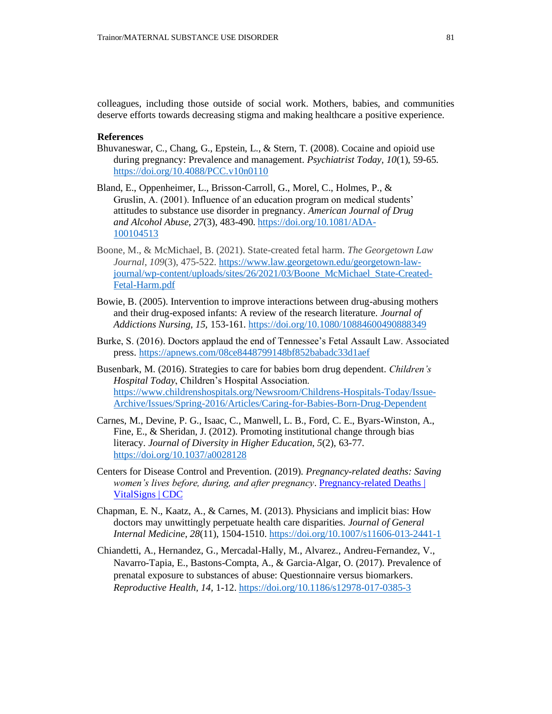colleagues, including those outside of social work. Mothers, babies, and communities deserve efforts towards decreasing stigma and making healthcare a positive experience.

#### **References**

- Bhuvaneswar, C., Chang, G., Epstein, L., & Stern, T. (2008). Cocaine and opioid use during pregnancy: Prevalence and management. *Psychiatrist Today, 10*(1), 59-65. <https://doi.org/10.4088/PCC.v10n0110>
- Bland, E., Oppenheimer, L., Brisson-Carroll, G., Morel, C., Holmes, P., & Gruslin, A. (2001). Influence of an education program on medical students' attitudes to substance use disorder in pregnancy. *American Journal of Drug and Alcohol Abuse, 27*(3), 483-490. [https://doi.org/10.1081/ADA-](https://doi.org/10.1081/ADA-100104513)[100104513](https://doi.org/10.1081/ADA-100104513)
- Boone, M., & McMichael, B. (2021). State-created fetal harm. *The Georgetown Law Journal*, *109*(3), 475-522. [https://www.law.georgetown.edu/georgetown-law](https://www.law.georgetown.edu/georgetown-law-journal/wp-content/uploads/sites/26/2021/03/Boone_McMichael_State-Created-Fetal-Harm.pdf)[journal/wp-content/uploads/sites/26/2021/03/Boone\\_McMichael\\_State-Created-](https://www.law.georgetown.edu/georgetown-law-journal/wp-content/uploads/sites/26/2021/03/Boone_McMichael_State-Created-Fetal-Harm.pdf)[Fetal-Harm.pdf](https://www.law.georgetown.edu/georgetown-law-journal/wp-content/uploads/sites/26/2021/03/Boone_McMichael_State-Created-Fetal-Harm.pdf)
- Bowie, B. (2005). Intervention to improve interactions between drug-abusing mothers and their drug-exposed infants: A review of the research literature. *Journal of Addictions Nursing, 15,* 153-161.<https://doi.org/10.1080/10884600490888349>
- Burke, S. (2016). Doctors applaud the end of Tennessee's Fetal Assault Law. Associated press.<https://apnews.com/08ce8448799148bf852babadc33d1aef>
- Busenbark, M. (2016). Strategies to care for babies born drug dependent. *Children's Hospital Today*, Children's Hospital Association. [https://www.childrenshospitals.org/Newsroom/Childrens-Hospitals-Today/Issue-](https://www.childrenshospitals.org/Newsroom/Childrens-Hospitals-Today/Issue-Archive/Issues/Spring-2016/Articles/Caring-for-Babies-Born-Drug-Dependent)[Archive/Issues/Spring-2016/Articles/Caring-for-Babies-Born-Drug-Dependent](https://www.childrenshospitals.org/Newsroom/Childrens-Hospitals-Today/Issue-Archive/Issues/Spring-2016/Articles/Caring-for-Babies-Born-Drug-Dependent)
- Carnes, M., Devine, P. G., Isaac, C., Manwell, L. B., Ford, C. E., Byars-Winston, A., Fine, E., & Sheridan, J. (2012). Promoting institutional change through bias literacy. *Journal of Diversity in Higher Education*, *5*(2), 63-77. <https://doi.org/10.1037/a0028128>
- Centers for Disease Control and Prevention. (2019). *Pregnancy-related deaths: Saving women's lives before, during, and after pregnancy*. [Pregnancy-related Deaths |](https://www.cdc.gov/vitalsigns/maternal-deaths/)  [VitalSigns | CDC](https://www.cdc.gov/vitalsigns/maternal-deaths/)
- Chapman, E. N., Kaatz, A., & Carnes, M. (2013). Physicians and implicit bias: How doctors may unwittingly perpetuate health care disparities. *Journal of General Internal Medicine*, *28*(11), 1504-1510[. https://doi.org/10.1007/s11606-013-2441-1](https://doi.org/10.1007/s11606-013-2441-1)
- Chiandetti, A., Hernandez, G., Mercadal-Hally, M., Alvarez., Andreu-Fernandez, V., Navarro-Tapia, E., Bastons-Compta, A., & Garcia-Algar, O. (2017). Prevalence of prenatal exposure to substances of abuse: Questionnaire versus biomarkers. *Reproductive Health, 14,* 1-12. <https://doi.org/10.1186/s12978-017-0385-3>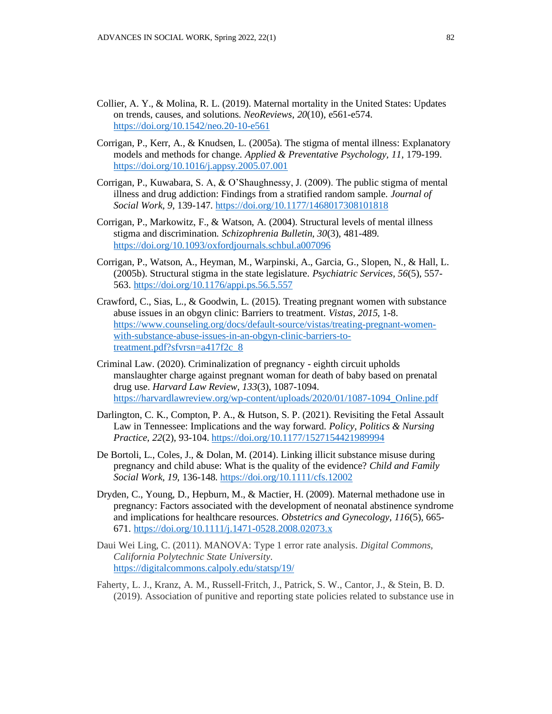- Collier, A. Y., & Molina, R. L. (2019). Maternal mortality in the United States: Updates on trends, causes, and solutions. *NeoReviews*, *20*(10), e561-e574. <https://doi.org/10.1542/neo.20-10-e561>
- Corrigan, P., Kerr, A., & Knudsen, L. (2005a). The stigma of mental illness: Explanatory models and methods for change. *Applied & Preventative Psychology, 11*, 179-199. <https://doi.org/10.1016/j.appsy.2005.07.001>
- Corrigan, P., Kuwabara, S. A, & O'Shaughnessy, J. (2009). The public stigma of mental illness and drug addiction: Findings from a stratified random sample*. Journal of Social Work, 9*, 139-147[. https://doi.org/10.1177/1468017308101818](https://doi.org/10.1177/1468017308101818)
- Corrigan, P., Markowitz, F., & Watson, A. (2004). Structural levels of mental illness stigma and discrimination. *Schizophrenia Bulletin, 30*(3), 481-489. <https://doi.org/10.1093/oxfordjournals.schbul.a007096>
- Corrigan, P., Watson, A., Heyman, M., Warpinski, A., Garcia, G., Slopen, N., & Hall, L. (2005b). Structural stigma in the state legislature. *Psychiatric Services, 56*(5), 557- 563.<https://doi.org/10.1176/appi.ps.56.5.557>
- Crawford, C., Sias, L., & Goodwin, L. (2015). Treating pregnant women with substance abuse issues in an obgyn clinic: Barriers to treatment. *Vistas, 2015,* 1-8. [https://www.counseling.org/docs/default-source/vistas/treating-pregnant-women](https://www.counseling.org/docs/default-source/vistas/treating-pregnant-women-with-substance-abuse-issues-in-an-obgyn-clinic-barriers-to-treatment.pdf?sfvrsn=a417f2c_8)[with-substance-abuse-issues-in-an-obgyn-clinic-barriers-to](https://www.counseling.org/docs/default-source/vistas/treating-pregnant-women-with-substance-abuse-issues-in-an-obgyn-clinic-barriers-to-treatment.pdf?sfvrsn=a417f2c_8)[treatment.pdf?sfvrsn=a417f2c\\_8](https://www.counseling.org/docs/default-source/vistas/treating-pregnant-women-with-substance-abuse-issues-in-an-obgyn-clinic-barriers-to-treatment.pdf?sfvrsn=a417f2c_8)
- Criminal Law. (2020). Criminalization of pregnancy eighth circuit upholds manslaughter charge against pregnant woman for death of baby based on prenatal drug use. *Harvard Law Review, 133*(3), 1087-1094. [https://harvardlawreview.org/wp-content/uploads/2020/01/1087-1094\\_Online.pdf](https://harvardlawreview.org/wp-content/uploads/2020/01/1087-1094_Online.pdf)
- Darlington, C. K., Compton, P. A., & Hutson, S. P. (2021). Revisiting the Fetal Assault Law in Tennessee: Implications and the way forward. *Policy, Politics & Nursing Practice, 22*(2), 93-104. <https://doi.org/10.1177/1527154421989994>
- De Bortoli, L., Coles, J., & Dolan, M. (2014). Linking illicit substance misuse during pregnancy and child abuse: What is the quality of the evidence? *Child and Family Social Work, 19,* 136-148.<https://doi.org/10.1111/cfs.12002>
- Dryden, C., Young, D., Hepburn, M., & Mactier, H. (2009). Maternal methadone use in pregnancy: Factors associated with the development of neonatal abstinence syndrome and implications for healthcare resources. *Obstetrics and Gynecology, 116*(5), 665- 671.<https://doi.org/10.1111/j.1471-0528.2008.02073.x>
- Daui Wei Ling, C. (2011). MANOVA: Type 1 error rate analysis. *Digital Commons, California Polytechnic State University.*  <https://digitalcommons.calpoly.edu/statsp/19/>
- Faherty, L. J., Kranz, A. M., Russell-Fritch, J., Patrick, S. W., Cantor, J., & Stein, B. D. (2019). Association of punitive and reporting state policies related to substance use in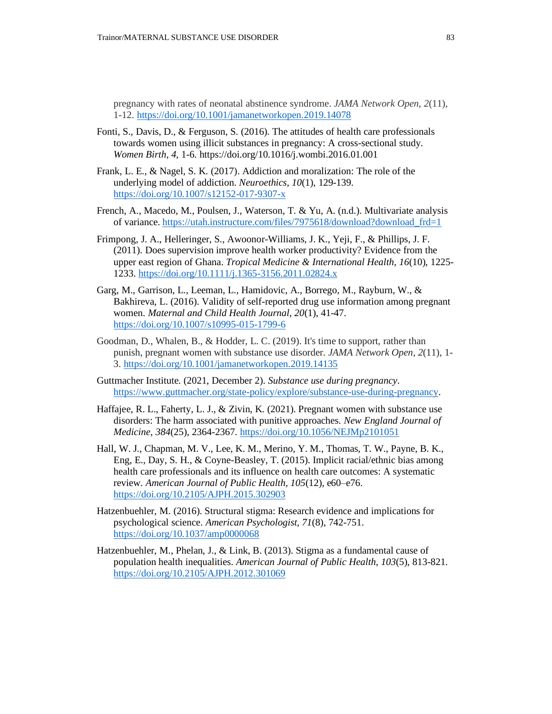pregnancy with rates of neonatal abstinence syndrome. *JAMA Network Open*, *2*(11), 1-12.<https://doi.org/10.1001/jamanetworkopen.2019.14078>

- Fonti, S., Davis, D., & Ferguson, S. (2016). The attitudes of health care professionals towards women using illicit substances in pregnancy: A cross-sectional study. *Women Birth, 4,* 1-6. https://doi.org/10.1016/j.wombi.2016.01.001
- Frank, L. E., & Nagel, S. K. (2017). Addiction and moralization: The role of the underlying model of addiction. *Neuroethics*, *10*(1), 129-139. <https://doi.org/10.1007/s12152-017-9307-x>
- French, A., Macedo, M., Poulsen, J., Waterson, T. & Yu, A. (n.d.). Multivariate analysis of variance. [https://utah.instructure.com/files/7975618/download?download\\_frd=1](https://utah.instructure.com/files/7975618/download?download_frd=1)
- Frimpong, J. A., Helleringer, S., Awoonor-Williams, J. K., Yeji, F., & Phillips, J. F. (2011). Does supervision improve health worker productivity? Evidence from the upper east region of Ghana. *Tropical Medicine & International Health*, *16*(10), 1225- 1233. <https://doi.org/10.1111/j.1365-3156.2011.02824.x>
- Garg, M., Garrison, L., Leeman, L., Hamidovic, A., Borrego, M., Rayburn, W., & Bakhireva, L. (2016). Validity of self-reported drug use information among pregnant women. *Maternal and Child Health Journal, 20*(1), 41-47. <https://doi.org/10.1007/s10995-015-1799-6>
- Goodman, D., Whalen, B., & Hodder, L. C. (2019). It's time to support, rather than punish, pregnant women with substance use disorder. *JAMA Network Open*, *2*(11), 1- 3.<https://doi.org/10.1001/jamanetworkopen.2019.14135>
- Guttmacher Institute. (2021, December 2). *Substance use during pregnancy*. [https://www.guttmacher.org/state-policy/explore/substance-use-during-pregnancy.](https://www.guttmacher.org/state-policy/explore/substance-use-during-pregnancy)
- Haffajee, R. L., Faherty, L. J., & Zivin, K. (2021). Pregnant women with substance use disorders: The harm associated with punitive approaches. *New England Journal of Medicine*, *384*(25), 2364-2367.<https://doi.org/10.1056/NEJMp2101051>
- Hall, W. J., Chapman, M. V., Lee, K. M., Merino, Y. M., Thomas, T. W., Payne, B. K., Eng, E., Day, S. H., & Coyne-Beasley, T. (2015). Implicit racial/ethnic bias among health care professionals and its influence on health care outcomes: A systematic review. *American Journal of Public Health, 105*(12), e60–e76. <https://doi.org/10.2105/AJPH.2015.302903>
- Hatzenbuehler, M. (2016). Structural stigma: Research evidence and implications for psychological science. *American Psychologist, 71*(8), 742-751. <https://doi.org/10.1037/amp0000068>
- Hatzenbuehler, M., Phelan, J., & Link, B. (2013). Stigma as a fundamental cause of population health inequalities. *American Journal of Public Health*, *103*(5), 813-821. <https://doi.org/10.2105/AJPH.2012.301069>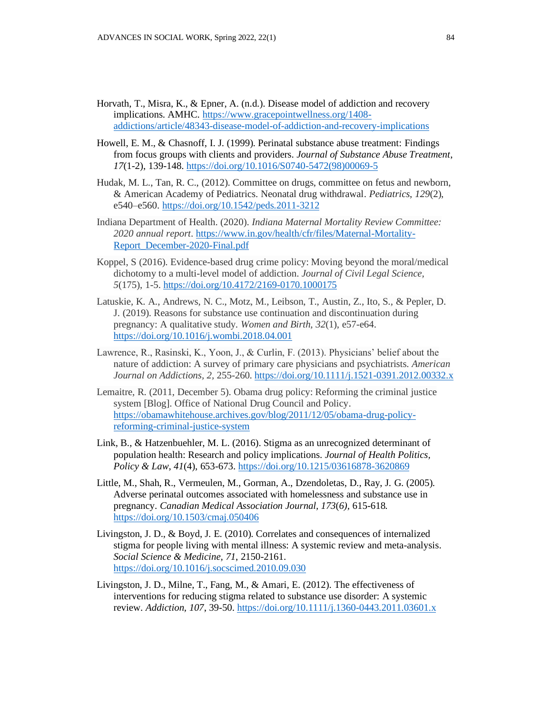- Horvath, T., Misra, K., & Epner, A. (n.d.). Disease model of addiction and recovery implications. AMHC. [https://www.gracepointwellness.org/1408](https://www.gracepointwellness.org/1408-addictions/article/48343-disease-model-of-addiction-and-recovery-implications) [addictions/article/48343-disease-model-of-addiction-and-recovery-implications](https://www.gracepointwellness.org/1408-addictions/article/48343-disease-model-of-addiction-and-recovery-implications)
- Howell, E. M., & Chasnoff, I. J. (1999). Perinatal substance abuse treatment: Findings from focus groups with clients and providers. *Journal of Substance Abuse Treatment*, *17*(1-2), 139-148[. https://doi.org/10.1016/S0740-5472\(98\)00069-5](https://doi.org/10.1016/S0740-5472(98)00069-5)
- Hudak, M. L., Tan, R. C., (2012). Committee on drugs, committee on fetus and newborn, & American Academy of Pediatrics. Neonatal drug withdrawal. *Pediatrics*, *129*(2), e540–e560.<https://doi.org/10.1542/peds.2011-3212>
- Indiana Department of Health. (2020). *Indiana Maternal Mortality Review Committee: 2020 annual report*. [https://www.in.gov/health/cfr/files/Maternal-Mortality-](https://www.in.gov/health/cfr/files/Maternal-Mortality-Report_December-2020-Final.pdf)[Report\\_December-2020-Final.pdf](https://www.in.gov/health/cfr/files/Maternal-Mortality-Report_December-2020-Final.pdf)
- Koppel, S (2016). Evidence-based drug crime policy: Moving beyond the moral/medical dichotomy to a multi-level model of addiction. *Journal of Civil Legal Science, 5*(175), 1-5.<https://doi.org/10.4172/2169-0170.1000175>
- Latuskie, K. A., Andrews, N. C., Motz, M., Leibson, T., Austin, Z., Ito, S., & Pepler, D. J. (2019). Reasons for substance use continuation and discontinuation during pregnancy: A qualitative study. *Women and Birth, 32*(1), e57-e64. <https://doi.org/10.1016/j.wombi.2018.04.001>
- Lawrence, R., Rasinski, K., Yoon, J., & Curlin, F. (2013). Physicians' belief about the nature of addiction: A survey of primary care physicians and psychiatrists. *American Journal on Addictions, 2,* 255-260. <https://doi.org/10.1111/j.1521-0391.2012.00332.x>
- Lemaitre, R. (2011, December 5). Obama drug policy: Reforming the criminal justice system [Blog]. Office of National Drug Council and Policy. [https://obamawhitehouse.archives.gov/blog/2011/12/05/obama-drug-policy](https://obamawhitehouse.archives.gov/blog/2011/12/05/obama-drug-policy-reforming-criminal-justice-system)[reforming-criminal-justice-system](https://obamawhitehouse.archives.gov/blog/2011/12/05/obama-drug-policy-reforming-criminal-justice-system)
- Link, B., & Hatzenbuehler, M. L. (2016). Stigma as an unrecognized determinant of population health: Research and policy implications. *Journal of Health Politics, Policy & Law*, *41*(4), 653-673.<https://doi.org/10.1215/03616878-3620869>
- Little, M., Shah, R., Vermeulen, M., Gorman, A., Dzendoletas, D., Ray, J. G. (2005). Adverse perinatal outcomes associated with homelessness and substance use in pregnancy. *Canadian Medical Association Journal, 173*(*6),* 615-618*.*  <https://doi.org/10.1503/cmaj.050406>
- Livingston, J. D., & Boyd, J. E. (2010). Correlates and consequences of internalized stigma for people living with mental illness: A systemic review and meta-analysis. *Social Science & Medicine, 71*, 2150-2161. <https://doi.org/10.1016/j.socscimed.2010.09.030>
- Livingston, J. D., Milne, T., Fang, M., & Amari, E. (2012). The effectiveness of interventions for reducing stigma related to substance use disorder: A systemic review. *Addiction, 107*, 39-50.<https://doi.org/10.1111/j.1360-0443.2011.03601.x>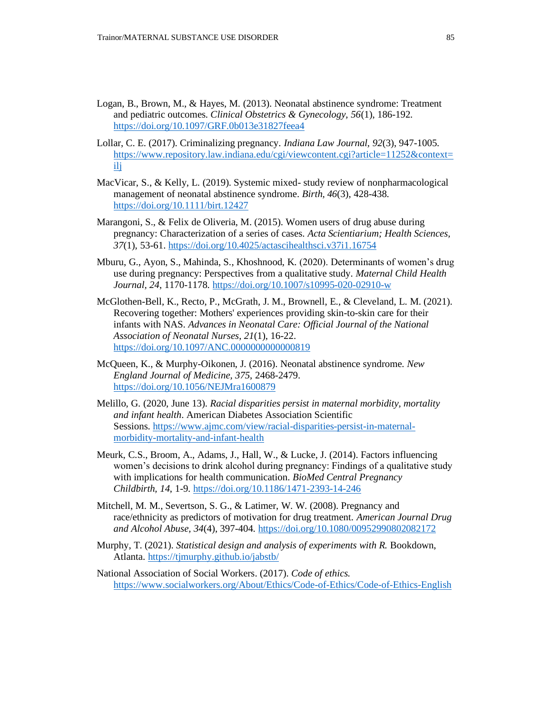- Logan, B., Brown, M., & Hayes, M. (2013). Neonatal abstinence syndrome: Treatment and pediatric outcomes. *Clinical Obstetrics & Gynecology, 56*(1), 186-192. <https://doi.org/10.1097/GRF.0b013e31827feea4>
- Lollar, C. E. (2017). Criminalizing pregnancy. *Indiana Law Journal, 92*(3), 947-1005. [https://www.repository.law.indiana.edu/cgi/viewcontent.cgi?article=11252&context=](https://www.repository.law.indiana.edu/cgi/viewcontent.cgi?article=11252&context=ilj) [ilj](https://www.repository.law.indiana.edu/cgi/viewcontent.cgi?article=11252&context=ilj)
- MacVicar, S., & Kelly, L. (2019). Systemic mixed- study review of nonpharmacological management of neonatal abstinence syndrome. *Birth, 46*(3), 428-438. <https://doi.org/10.1111/birt.12427>
- Marangoni, S., & Felix de Oliveria, M. (2015). Women users of drug abuse during pregnancy: Characterization of a series of cases. *Acta Scientiarium; Health Sciences, 37*(1), 53-61[. https://doi.org/10.4025/actascihealthsci.v37i1.16754](https://doi.org/10.4025/actascihealthsci.v37i1.16754)
- Mburu, G., Ayon, S., Mahinda, S., Khoshnood, K. (2020). Determinants of women's drug use during pregnancy: Perspectives from a qualitative study. *Maternal Child Health Journal, 24*, 1170-1178.<https://doi.org/10.1007/s10995-020-02910-w>
- McGlothen-Bell, K., Recto, P., McGrath, J. M., Brownell, E., & Cleveland, L. M. (2021). Recovering together: Mothers' experiences providing skin-to-skin care for their infants with NAS. *Advances in Neonatal Care: Official Journal of the National Association of Neonatal Nurses*, *21*(1), 16-22. <https://doi.org/10.1097/ANC.0000000000000819>
- McQueen, K., & Murphy-Oikonen, J. (2016). Neonatal abstinence syndrome. *New England Journal of Medicine, 375*, 2468-2479. <https://doi.org/10.1056/NEJMra1600879>
- Melillo, G. (2020, June 13). *Racial disparities persist in maternal morbidity, mortality and infant health*. American Diabetes Association Scientific Sessions. [https://www.ajmc.com/view/racial-disparities-persist-in-maternal](https://www.ajmc.com/view/racial-disparities-persist-in-maternal-morbidity-mortality-and-infant-health)[morbidity-mortality-and-infant-health](https://www.ajmc.com/view/racial-disparities-persist-in-maternal-morbidity-mortality-and-infant-health)
- Meurk, C.S., Broom, A., Adams, J., Hall, W., & Lucke, J. (2014). Factors influencing women's decisions to drink alcohol during pregnancy: Findings of a qualitative study with implications for health communication. *BioMed Central Pregnancy Childbirth, 14*, 1-9.<https://doi.org/10.1186/1471-2393-14-246>
- Mitchell, M. M., Severtson, S. G., & Latimer, W. W. (2008). Pregnancy and race/ethnicity as predictors of motivation for drug treatment. *American Journal Drug and Alcohol Abuse, 34*(4), 397-404.<https://doi.org/10.1080/00952990802082172>
- Murphy, T. (2021). *Statistical design and analysis of experiments with R.* Bookdown, Atlanta.<https://tjmurphy.github.io/jabstb/>
- National Association of Social Workers. (2017). *Code of ethics.*  <https://www.socialworkers.org/About/Ethics/Code-of-Ethics/Code-of-Ethics-English>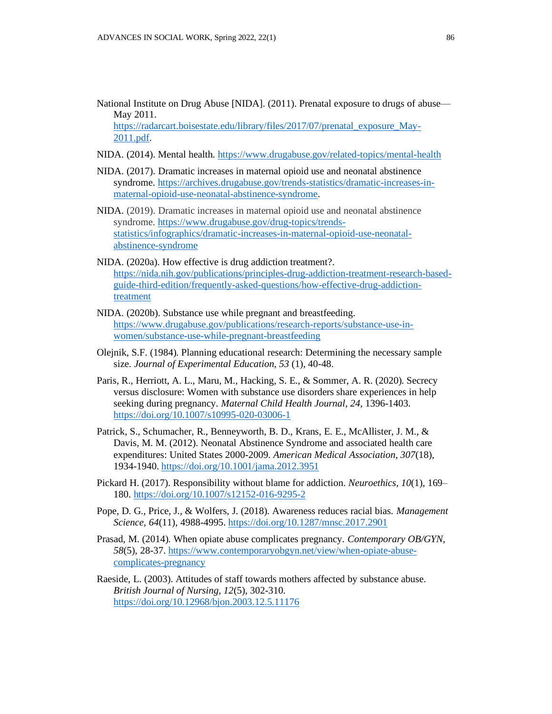National Institute on Drug Abuse [NIDA]. (2011). Prenatal exposure to drugs of abuse— May 2011. [https://radarcart.boisestate.edu/library/files/2017/07/prenatal\\_exposure\\_May-](https://radarcart.boisestate.edu/library/files/2017/07/prenatal_exposure_May-2011.pdf)

[2011.pdf.](https://radarcart.boisestate.edu/library/files/2017/07/prenatal_exposure_May-2011.pdf)

- NIDA. (2014). Mental health.<https://www.drugabuse.gov/related-topics/mental-health>
- NIDA. (2017). Dramatic increases in maternal opioid use and neonatal abstinence syndrome. [https://archives.drugabuse.gov/trends-statistics/dramatic-increases-in](https://archives.drugabuse.gov/trends-statistics/dramatic-increases-in-maternal-opioid-use-neonatal-abstinence-syndrome)[maternal-opioid-use-neonatal-abstinence-syndrome.](https://archives.drugabuse.gov/trends-statistics/dramatic-increases-in-maternal-opioid-use-neonatal-abstinence-syndrome)
- NIDA. (2019). Dramatic increases in maternal opioid use and neonatal abstinence syndrome. [https://www.drugabuse.gov/drug-topics/trends](https://www.drugabuse.gov/drug-topics/trends-statistics/infographics/dramatic-increases-in-maternal-opioid-use-neonatal-abstinence-syndrome)[statistics/infographics/dramatic-increases-in-maternal-opioid-use-neonatal](https://www.drugabuse.gov/drug-topics/trends-statistics/infographics/dramatic-increases-in-maternal-opioid-use-neonatal-abstinence-syndrome)[abstinence-syndrome](https://www.drugabuse.gov/drug-topics/trends-statistics/infographics/dramatic-increases-in-maternal-opioid-use-neonatal-abstinence-syndrome)
- NIDA. (2020a). How effective is drug addiction treatment?. [https://nida.nih.gov/publications/principles-drug-addiction-treatment-research-based](https://nida.nih.gov/publications/principles-drug-addiction-treatment-research-based-guide-third-edition/frequently-asked-questions/how-effective-drug-addiction-treatment)[guide-third-edition/frequently-asked-questions/how-effective-drug-addiction](https://nida.nih.gov/publications/principles-drug-addiction-treatment-research-based-guide-third-edition/frequently-asked-questions/how-effective-drug-addiction-treatment)[treatment](https://nida.nih.gov/publications/principles-drug-addiction-treatment-research-based-guide-third-edition/frequently-asked-questions/how-effective-drug-addiction-treatment)
- NIDA. (2020b). Substance use while pregnant and breastfeeding. [https://www.drugabuse.gov/publications/research-reports/substance-use-in](https://www.drugabuse.gov/publications/research-reports/substance-use-in-women/substance-use-while-pregnant-breastfeeding)[women/substance-use-while-pregnant-breastfeeding](https://www.drugabuse.gov/publications/research-reports/substance-use-in-women/substance-use-while-pregnant-breastfeeding)
- Olejnik, S.F. (1984). Planning educational research: Determining the necessary sample size. *Journal of Experimental Education, 53* (1), 40-48.
- Paris, R., Herriott, A. L., Maru, M., Hacking, S. E., & Sommer, A. R. (2020). Secrecy versus disclosure: Women with substance use disorders share experiences in help seeking during pregnancy. *Maternal Child Health Journal, 24,* 1396-1403. <https://doi.org/10.1007/s10995-020-03006-1>
- Patrick, S., Schumacher, R., Benneyworth, B. D., Krans, E. E., McAllister, J. M., & Davis, M. M. (2012). Neonatal Abstinence Syndrome and associated health care expenditures: United States 2000-2009. *American Medical Association, 307*(18), 1934-1940. <https://doi.org/10.1001/jama.2012.3951>
- Pickard H. (2017). Responsibility without blame for addiction. *Neuroethics*, *10*(1), 169– 180.<https://doi.org/10.1007/s12152-016-9295-2>
- Pope, D. G., Price, J., & Wolfers, J. (2018). Awareness reduces racial bias. *Management Science, 64*(11), 4988-4995. <https://doi.org/10.1287/mnsc.2017.2901>
- Prasad, M. (2014). When opiate abuse complicates pregnancy. *Contemporary OB/GYN, 58*(5), 28-37[. https://www.contemporaryobgyn.net/view/when-opiate-abuse](https://www.contemporaryobgyn.net/view/when-opiate-abuse-complicates-pregnancy)[complicates-pregnancy](https://www.contemporaryobgyn.net/view/when-opiate-abuse-complicates-pregnancy)
- Raeside, L. (2003). Attitudes of staff towards mothers affected by substance abuse. *British Journal of Nursing, 12*(5), 302-310. <https://doi.org/10.12968/bjon.2003.12.5.11176>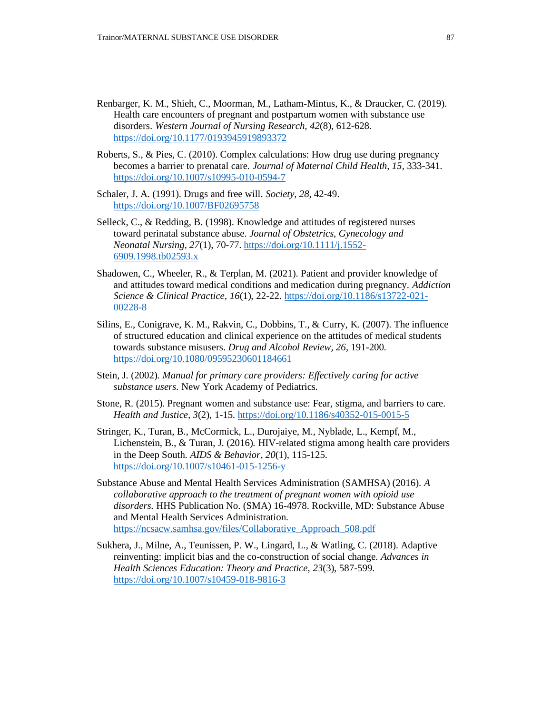- Renbarger, K. M., Shieh, C., Moorman, M., Latham-Mintus, K., & Draucker, C. (2019). Health care encounters of pregnant and postpartum women with substance use disorders. *Western Journal of Nursing Research, 42*(8), 612-628. <https://doi.org/10.1177/0193945919893372>
- Roberts, S., & Pies, C. (2010). Complex calculations: How drug use during pregnancy becomes a barrier to prenatal care. *Journal of Maternal Child Health, 15*, 333-341. <https://doi.org/10.1007/s10995-010-0594-7>
- Schaler, J. A. (1991). Drugs and free will. *Society, 28,* 42-49. <https://doi.org/10.1007/BF02695758>
- Selleck, C., & Redding, B. (1998). Knowledge and attitudes of registered nurses toward perinatal substance abuse. *Journal of Obstetrics, Gynecology and Neonatal Nursing, 27*(1), 70-77. [https://doi.org/10.1111/j.1552-](https://doi.org/10.1111/j.1552-6909.1998.tb02593.x) [6909.1998.tb02593.x](https://doi.org/10.1111/j.1552-6909.1998.tb02593.x)
- Shadowen, C., Wheeler, R., & Terplan, M. (2021). Patient and provider knowledge of and attitudes toward medical conditions and medication during pregnancy. *Addiction Science & Clinical Practice, 16*(1), 22-22. [https://doi.org/10.1186/s13722-021-](https://doi.org/10.1186/s13722-021-00228-8) [00228-8](https://doi.org/10.1186/s13722-021-00228-8)
- Silins, E., Conigrave, K. M., Rakvin, C., Dobbins, T., & Curry, K. (2007). The influence of structured education and clinical experience on the attitudes of medical students towards substance misusers. *Drug and Alcohol Review, 26*, 191-200. <https://doi.org/10.1080/09595230601184661>
- Stein, J. (2002). *Manual for primary care providers: Effectively caring for active substance users*. New York Academy of Pediatrics.
- Stone, R. (2015). Pregnant women and substance use: Fear, stigma, and barriers to care. *Health and Justice, 3*(2), 1-15.<https://doi.org/10.1186/s40352-015-0015-5>
- Stringer, K., Turan, B., McCormick, L., Durojaiye, M., Nyblade, L., Kempf, M., Lichenstein, B., & Turan, J. (2016). HIV-related stigma among health care providers in the Deep South. *AIDS & Behavior*, *20*(1), 115-125. <https://doi.org/10.1007/s10461-015-1256-y>
- Substance Abuse and Mental Health Services Administration (SAMHSA) (2016). *A collaborative approach to the treatment of pregnant women with opioid use disorders.* HHS Publication No. (SMA) 16-4978. Rockville, MD: Substance Abuse and Mental Health Services Administration. [https://ncsacw.samhsa.gov/files/Collaborative\\_Approach\\_508.pdf](https://ncsacw.samhsa.gov/files/Collaborative_Approach_508.pdf)
- Sukhera, J., Milne, A., Teunissen, P. W., Lingard, L., & Watling, C. (2018). Adaptive reinventing: implicit bias and the co-construction of social change. *Advances in Health Sciences Education: Theory and Practice*, *23*(3), 587-599. <https://doi.org/10.1007/s10459-018-9816-3>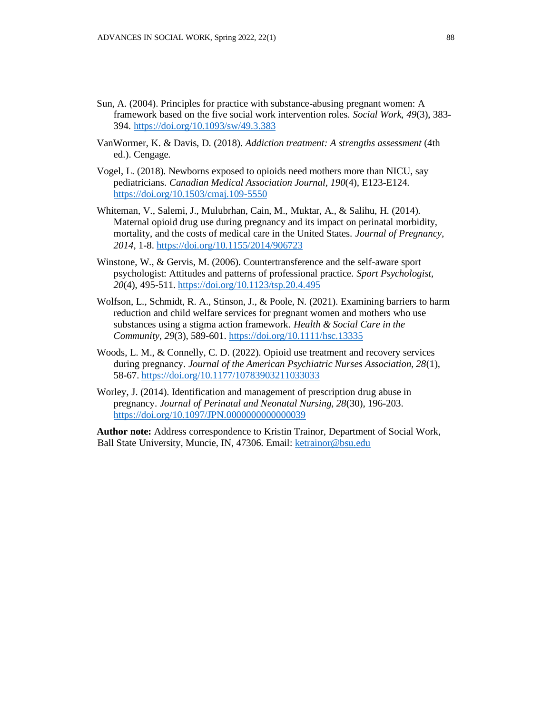- Sun, A. (2004). Principles for practice with substance-abusing pregnant women: A framework based on the five social work intervention roles. *Social Work, 49*(3), 383- 394. <https://doi.org/10.1093/sw/49.3.383>
- VanWormer, K. & Davis, D. (2018). *Addiction treatment: A strengths assessment* (4th ed.). Cengage*.*
- Vogel, L. (2018). Newborns exposed to opioids need mothers more than NICU, say pediatricians. *Canadian Medical Association Journal*, *190*(4), E123-E124. <https://doi.org/10.1503/cmaj.109-5550>
- Whiteman, V., Salemi, J., Mulubrhan, Cain, M., Muktar, A., & Salihu, H. (2014). Maternal opioid drug use during pregnancy and its impact on perinatal morbidity, mortality, and the costs of medical care in the United States. *Journal of Pregnancy, 2014*, 1-8[. https://doi.org/10.1155/2014/906723](https://doi.org/10.1155/2014/906723)
- Winstone, W., & Gervis, M. (2006). Countertransference and the self-aware sport psychologist: Attitudes and patterns of professional practice. *Sport Psychologist, 20*(4), 495-511. <https://doi.org/10.1123/tsp.20.4.495>
- Wolfson, L., Schmidt, R. A., Stinson, J., & Poole, N. (2021). Examining barriers to harm reduction and child welfare services for pregnant women and mothers who use substances using a stigma action framework. *Health & Social Care in the Community, 29*(3), 589-601. <https://doi.org/10.1111/hsc.13335>
- Woods, L. M., & Connelly, C. D. (2022). Opioid use treatment and recovery services during pregnancy. *Journal of the American Psychiatric Nurses Association, 28*(1), 58-67. <https://doi.org/10.1177/10783903211033033>
- Worley, J. (2014). Identification and management of prescription drug abuse in pregnancy. *Journal of Perinatal and Neonatal Nursing, 28*(30), 196-203. <https://doi.org/10.1097/JPN.0000000000000039>

**Author note:** Address correspondence to Kristin Trainor, Department of Social Work, Ball State University, Muncie, IN, 47306. Email: [ketrainor@bsu.edu](mailto:ketrainor@bsu.edu)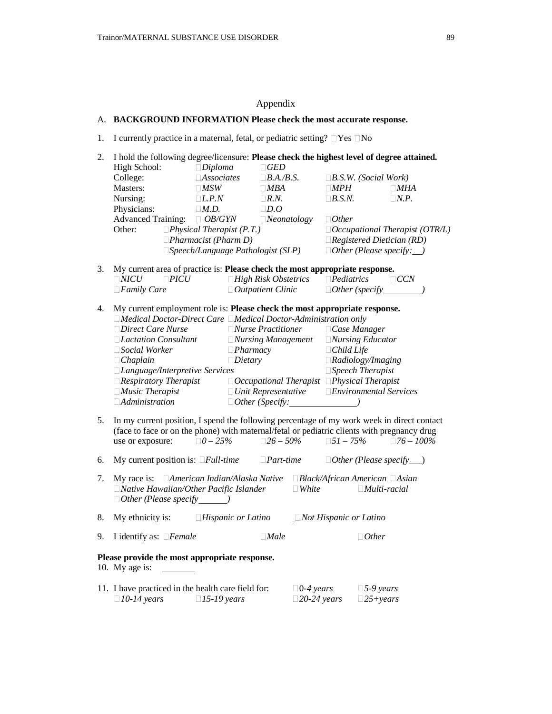# Appendix

# A. **BACKGROUND INFORMATION Please check the most accurate response.**

1. I currently practice in a maternal, fetal, or pediatric setting?  $\Box$  Yes  $\Box$  No

| 2. |                                                                             |                                          |                                                         |                               | I hold the following degree/licensure: Please check the highest level of degree attained.   |  |
|----|-----------------------------------------------------------------------------|------------------------------------------|---------------------------------------------------------|-------------------------------|---------------------------------------------------------------------------------------------|--|
|    | High School:                                                                | $\Box$ Diploma                           | $\Box GED$                                              |                               |                                                                                             |  |
|    | College:                                                                    | $\Box$ Associates                        | $\Box$ <i>B.A.</i> / <i>B.S.</i>                        |                               | $\Box$ <i>B.S.W.</i> ( <i>Social Work</i> )                                                 |  |
|    | Masters:                                                                    | $\Box MSW$                               | $\Box MBA$                                              | $\Box MPH$                    | $\Box$ <i>MHA</i>                                                                           |  |
|    | Nursing:                                                                    | $\Box L.P.N$                             | $\Box R.N.$                                             | $\Box$ <i>B.S.N.</i>          | $\Box N.P.$                                                                                 |  |
|    | Physicians:                                                                 | $\Box M.D.$                              | $\Box D.O$                                              |                               |                                                                                             |  |
|    | <b>Advanced Training:</b>                                                   | $\Box$ OB/GYN                            | $\Box$ Neonatology                                      | $\Box$ Other                  |                                                                                             |  |
|    | Other:                                                                      | $\Box$ Physical Therapist (P.T.)         |                                                         |                               | $\Box$ Occupational Therapist (OTR/L)                                                       |  |
|    |                                                                             | $\Box$ Pharmacist (Pharm D)              |                                                         |                               | $\Box$ Registered Dietician (RD)                                                            |  |
|    |                                                                             | $\Box$ Speech/Language Pathologist (SLP) |                                                         |                               | $\Box$ Other (Please specify: $\Box$ )                                                      |  |
| 3. | My current area of practice is: Please check the most appropriate response. |                                          |                                                         |                               |                                                                                             |  |
|    | $\Box NICU$<br>$\Box PICU$                                                  |                                          | $\Box$ High Risk Obstetrics                             | $\Box$ Pediatrics             | $\Box$ CCN                                                                                  |  |
|    | $\Box$ <i>Family Care</i>                                                   |                                          | $\Box$ Outpatient Clinic                                |                               |                                                                                             |  |
| 4. | My current employment role is: Please check the most appropriate response.  |                                          |                                                         |                               |                                                                                             |  |
|    | □Medical Doctor-Direct Care □Medical Doctor-Administration only             |                                          |                                                         |                               |                                                                                             |  |
|    | $\Box$ Direct Care Nurse                                                    |                                          | $\Box$ <i>Nurse Practitioner</i>                        |                               | $\Box$ Case Manager                                                                         |  |
|    | $\Box$ <i>Lactation Consultant</i>                                          |                                          | $\Box$ Nursing Management                               |                               | $\Box$ <i>Nursing Educator</i>                                                              |  |
|    | $\square$ Social Worker                                                     | $\Box$ Pharmacy                          |                                                         | $\Box$ Child Life             |                                                                                             |  |
|    | $\Box$ Chaplain                                                             | $\Box$ <i>Dietary</i>                    | $\Box$ Radiology/Imaging                                |                               |                                                                                             |  |
|    | □Language/Interpretive Services                                             |                                          |                                                         | $\Box$ Speech Therapist       |                                                                                             |  |
|    | $\Box$ <i>Respiratory Therapist</i>                                         |                                          | $\Box$ Occupational Therapist $\Box$ Physical Therapist |                               |                                                                                             |  |
|    | $\Box$ Music Therapist                                                      |                                          |                                                         |                               | $\Box$ Unit Representative $\Box$ Environmental Services                                    |  |
|    | $\Box$ Administration                                                       |                                          | $\Box$ Other (Specify:                                  |                               |                                                                                             |  |
| 5. |                                                                             |                                          |                                                         |                               | In my current position, I spend the following percentage of my work week in direct contact  |  |
|    |                                                                             |                                          |                                                         |                               | (face to face or on the phone) with maternal/fetal or pediatric clients with pregnancy drug |  |
|    | use or exposure:                                                            | $\square 0 - 25\%$                       | $\Box 26 - 50\%$                                        | $\square 51 - 75\%$           | $\Box 76 - 100\%$                                                                           |  |
| 6. | My current position is: $\Box Full\text{-}time$                             |                                          | $\Box$ <i>Part-time</i>                                 |                               | $\Box$ Other (Please specify ___)                                                           |  |
|    |                                                                             |                                          |                                                         |                               |                                                                                             |  |
| 7. | My race is: American Indian/Alaska Native                                   |                                          |                                                         |                               | $\Box Black/African American \ \Box Asian$                                                  |  |
|    | $\Box$ Native Hawaiian/Other Pacific Islander                               |                                          | $\Box$ <i>White</i>                                     |                               | $\Box$ Multi-racial                                                                         |  |
|    | $\Box$ Other (Please specify $\Box$ )                                       |                                          |                                                         |                               |                                                                                             |  |
| 8. | My ethnicity is:                                                            | $\Box$ Hispanic or Latino                |                                                         | $\Box$ Not Hispanic or Latino |                                                                                             |  |
| 9. | I identify as: $\Box$ <i>Female</i>                                         |                                          | $\Box$ <i>Male</i>                                      |                               | $\Box$ Other                                                                                |  |
|    | Please provide the most appropriate response.<br>10. My age is:             |                                          |                                                         |                               |                                                                                             |  |
|    | 11. I have practiced in the health care field for:                          |                                          | $\Box$ 0-4 years                                        |                               | $\square$ 5-9 years                                                                         |  |
|    | $\square$ 10-14 years                                                       | $\Box$ 15-19 years                       |                                                         | $\square$ 20-24 years         | $\square$ 25+years                                                                          |  |